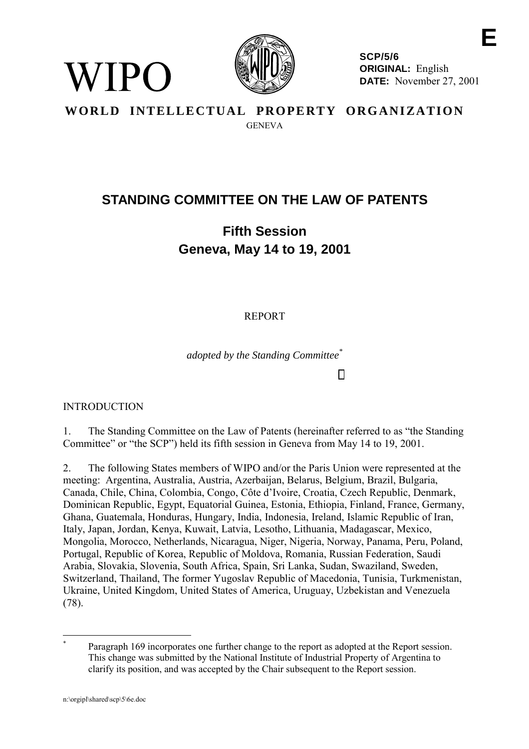

**E SCP/5/6 ORIGINAL:** English **DATE:** November 27, 2001

# **WORLD INTELLECTUAL PROPERTY ORGANIZATION** GENEVA

# **STANDING COMMITTEE ON THE LAW OF PATENTS**

# **Fifth Session Geneva, May 14 to 19, 2001**

REPORT

*adopted by the Standing Committee\**

INTRODUCTION

 $N$  | P( )

1. The Standing Committee on the Law of Patents (hereinafter referred to as "the Standing Committee" or "the SCP") held its fifth session in Geneva from May 14 to 19, 2001.

2. The following States members of WIPO and/or the Paris Union were represented at the meeting: Argentina, Australia, Austria, Azerbaijan, Belarus, Belgium, Brazil, Bulgaria, Canada, Chile, China, Colombia, Congo, Côte d'Ivoire, Croatia, Czech Republic, Denmark, Dominican Republic, Egypt, Equatorial Guinea, Estonia, Ethiopia, Finland, France, Germany, Ghana, Guatemala, Honduras, Hungary, India, Indonesia, Ireland, Islamic Republic of Iran, Italy, Japan, Jordan, Kenya, Kuwait, Latvia, Lesotho, Lithuania, Madagascar, Mexico, Mongolia, Morocco, Netherlands, Nicaragua, Niger, Nigeria, Norway, Panama, Peru, Poland, Portugal, Republic of Korea, Republic of Moldova, Romania, Russian Federation, Saudi Arabia, Slovakia, Slovenia, South Africa, Spain, Sri Lanka, Sudan, Swaziland, Sweden, Switzerland, Thailand, The former Yugoslav Republic of Macedonia, Tunisia, Turkmenistan, Ukraine, United Kingdom, United States of America, Uruguay, Uzbekistan and Venezuela (78).

 $\overline{a}$ Paragraph 169 incorporates one further change to the report as adopted at the Report session. This change was submitted by the National Institute of Industrial Property of Argentina to clarify its position, and was accepted by the Chair subsequent to the Report session.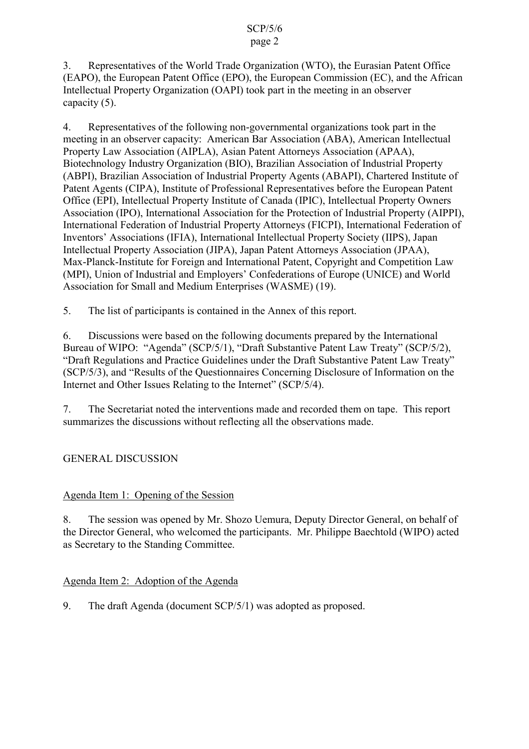# 3. Representatives of the World Trade Organization (WTO), the Eurasian Patent Office (EAPO), the European Patent Office (EPO), the European Commission (EC), and the African Intellectual Property Organization (OAPI) took part in the meeting in an observer capacity (5).

4. Representatives of the following non-governmental organizations took part in the meeting in an observer capacity: American Bar Association (ABA), American Intellectual Property Law Association (AIPLA), Asian Patent Attorneys Association (APAA), Biotechnology Industry Organization (BIO), Brazilian Association of Industrial Property (ABPI), Brazilian Association of Industrial Property Agents (ABAPI), Chartered Institute of Patent Agents (CIPA), Institute of Professional Representatives before the European Patent Office (EPI), Intellectual Property Institute of Canada (IPIC), Intellectual Property Owners Association (IPO), International Association for the Protection of Industrial Property (AIPPI), International Federation of Industrial Property Attorneys (FICPI), International Federation of Inventors' Associations (IFIA), International Intellectual Property Society (IIPS), Japan Intellectual Property Association (JIPA), Japan Patent Attorneys Association (JPAA), Max-Planck-Institute for Foreign and International Patent, Copyright and Competition Law (MPI), Union of Industrial and Employers' Confederations of Europe (UNICE) and World Association for Small and Medium Enterprises (WASME) (19).

5. The list of participants is contained in the Annex of this report.

6. Discussions were based on the following documents prepared by the International Bureau of WIPO: "Agenda" (SCP/5/1), "Draft Substantive Patent Law Treaty" (SCP/5/2), "Draft Regulations and Practice Guidelines under the Draft Substantive Patent Law Treaty" (SCP/5/3), and "Results of the Questionnaires Concerning Disclosure of Information on the Internet and Other Issues Relating to the Internet" (SCP/5/4).

7. The Secretariat noted the interventions made and recorded them on tape. This report summarizes the discussions without reflecting all the observations made.

GENERAL DISCUSSION

# Agenda Item 1: Opening of the Session

8. The session was opened by Mr. Shozo Uemura, Deputy Director General, on behalf of the Director General, who welcomed the participants. Mr. Philippe Baechtold (WIPO) acted as Secretary to the Standing Committee.

# Agenda Item 2: Adoption of the Agenda

9. The draft Agenda (document SCP/5/1) was adopted as proposed.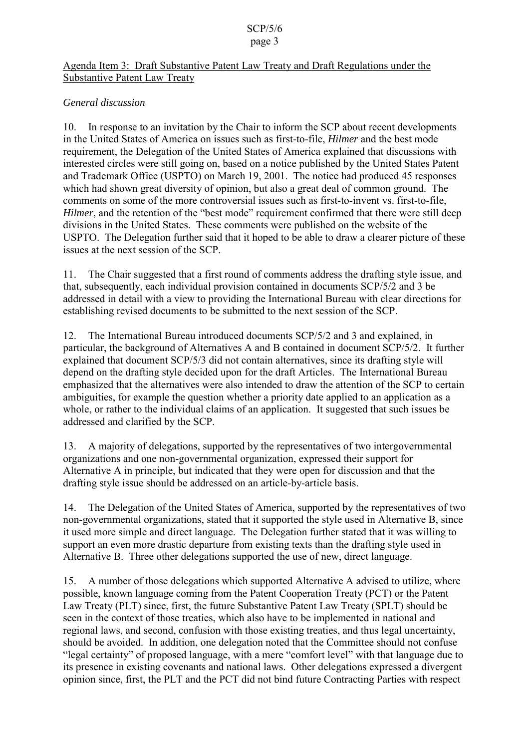### Agenda Item 3: Draft Substantive Patent Law Treaty and Draft Regulations under the Substantive Patent Law Treaty

# *General discussion*

10. In response to an invitation by the Chair to inform the SCP about recent developments in the United States of America on issues such as first-to-file, *Hilmer* and the best mode requirement, the Delegation of the United States of America explained that discussions with interested circles were still going on, based on a notice published by the United States Patent and Trademark Office (USPTO) on March 19, 2001. The notice had produced 45 responses which had shown great diversity of opinion, but also a great deal of common ground. The comments on some of the more controversial issues such as first-to-invent vs. first-to-file, *Hilmer*, and the retention of the "best mode" requirement confirmed that there were still deep divisions in the United States. These comments were published on the website of the USPTO. The Delegation further said that it hoped to be able to draw a clearer picture of these issues at the next session of the SCP.

11. The Chair suggested that a first round of comments address the drafting style issue, and that, subsequently, each individual provision contained in documents SCP/5/2 and 3 be addressed in detail with a view to providing the International Bureau with clear directions for establishing revised documents to be submitted to the next session of the SCP.

12. The International Bureau introduced documents SCP/5/2 and 3 and explained, in particular, the background of Alternatives A and B contained in document SCP/5/2. It further explained that document SCP/5/3 did not contain alternatives, since its drafting style will depend on the drafting style decided upon for the draft Articles. The International Bureau emphasized that the alternatives were also intended to draw the attention of the SCP to certain ambiguities, for example the question whether a priority date applied to an application as a whole, or rather to the individual claims of an application. It suggested that such issues be addressed and clarified by the SCP.

13. A majority of delegations, supported by the representatives of two intergovernmental organizations and one non-governmental organization, expressed their support for Alternative A in principle, but indicated that they were open for discussion and that the drafting style issue should be addressed on an article-by-article basis.

14. The Delegation of the United States of America, supported by the representatives of two non-governmental organizations, stated that it supported the style used in Alternative B, since it used more simple and direct language. The Delegation further stated that it was willing to support an even more drastic departure from existing texts than the drafting style used in Alternative B. Three other delegations supported the use of new, direct language.

15. A number of those delegations which supported Alternative A advised to utilize, where possible, known language coming from the Patent Cooperation Treaty (PCT) or the Patent Law Treaty (PLT) since, first, the future Substantive Patent Law Treaty (SPLT) should be seen in the context of those treaties, which also have to be implemented in national and regional laws, and second, confusion with those existing treaties, and thus legal uncertainty, should be avoided. In addition, one delegation noted that the Committee should not confuse "legal certainty" of proposed language, with a mere "comfort level" with that language due to its presence in existing covenants and national laws. Other delegations expressed a divergent opinion since, first, the PLT and the PCT did not bind future Contracting Parties with respect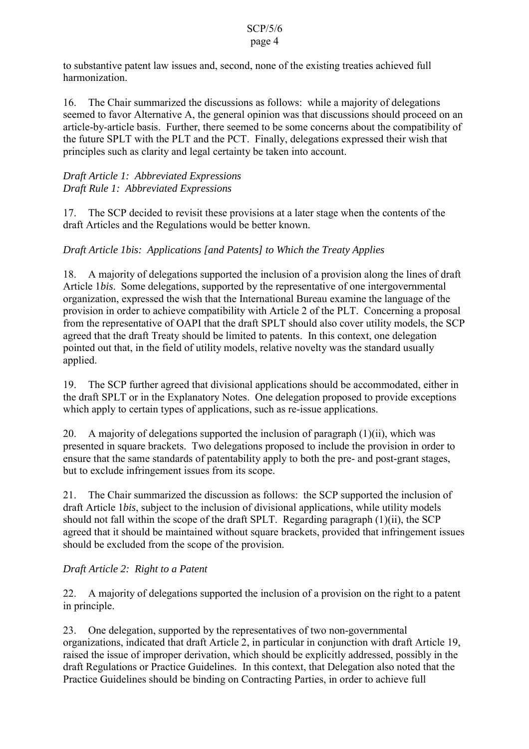# to substantive patent law issues and, second, none of the existing treaties achieved full harmonization.

16. The Chair summarized the discussions as follows: while a majority of delegations seemed to favor Alternative A, the general opinion was that discussions should proceed on an article-by-article basis. Further, there seemed to be some concerns about the compatibility of the future SPLT with the PLT and the PCT. Finally, delegations expressed their wish that principles such as clarity and legal certainty be taken into account.

# *Draft Article 1: Abbreviated Expressions Draft Rule 1: Abbreviated Expressions*

17. The SCP decided to revisit these provisions at a later stage when the contents of the draft Articles and the Regulations would be better known.

# *Draft Article 1bis: Applications [and Patents] to Which the Treaty Applies*

18. A majority of delegations supported the inclusion of a provision along the lines of draft Article 1*bis*. Some delegations, supported by the representative of one intergovernmental organization, expressed the wish that the International Bureau examine the language of the provision in order to achieve compatibility with Article 2 of the PLT. Concerning a proposal from the representative of OAPI that the draft SPLT should also cover utility models, the SCP agreed that the draft Treaty should be limited to patents. In this context, one delegation pointed out that, in the field of utility models, relative novelty was the standard usually applied.

19. The SCP further agreed that divisional applications should be accommodated, either in the draft SPLT or in the Explanatory Notes. One delegation proposed to provide exceptions which apply to certain types of applications, such as re-issue applications.

20. A majority of delegations supported the inclusion of paragraph (1)(ii), which was presented in square brackets. Two delegations proposed to include the provision in order to ensure that the same standards of patentability apply to both the pre- and post-grant stages, but to exclude infringement issues from its scope.

21. The Chair summarized the discussion as follows: the SCP supported the inclusion of draft Article 1*bis*, subject to the inclusion of divisional applications, while utility models should not fall within the scope of the draft SPLT. Regarding paragraph (1)(ii), the SCP agreed that it should be maintained without square brackets, provided that infringement issues should be excluded from the scope of the provision.

# *Draft Article 2: Right to a Patent*

22. A majority of delegations supported the inclusion of a provision on the right to a patent in principle.

23. One delegation, supported by the representatives of two non-governmental organizations, indicated that draft Article 2, in particular in conjunction with draft Article 19, raised the issue of improper derivation, which should be explicitly addressed, possibly in the draft Regulations or Practice Guidelines. In this context, that Delegation also noted that the Practice Guidelines should be binding on Contracting Parties, in order to achieve full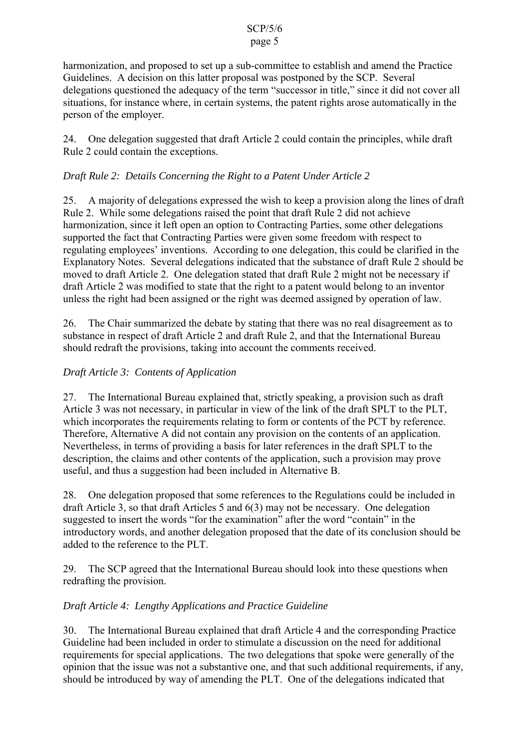# harmonization, and proposed to set up a sub-committee to establish and amend the Practice Guidelines. A decision on this latter proposal was postponed by the SCP. Several delegations questioned the adequacy of the term "successor in title," since it did not cover all situations, for instance where, in certain systems, the patent rights arose automatically in the person of the employer.

24. One delegation suggested that draft Article 2 could contain the principles, while draft Rule 2 could contain the exceptions.

# *Draft Rule 2: Details Concerning the Right to a Patent Under Article 2*

25. A majority of delegations expressed the wish to keep a provision along the lines of draft Rule 2. While some delegations raised the point that draft Rule 2 did not achieve harmonization, since it left open an option to Contracting Parties, some other delegations supported the fact that Contracting Parties were given some freedom with respect to regulating employees' inventions. According to one delegation, this could be clarified in the Explanatory Notes. Several delegations indicated that the substance of draft Rule 2 should be moved to draft Article 2. One delegation stated that draft Rule 2 might not be necessary if draft Article 2 was modified to state that the right to a patent would belong to an inventor unless the right had been assigned or the right was deemed assigned by operation of law.

26. The Chair summarized the debate by stating that there was no real disagreement as to substance in respect of draft Article 2 and draft Rule 2, and that the International Bureau should redraft the provisions, taking into account the comments received.

# *Draft Article 3: Contents of Application*

27. The International Bureau explained that, strictly speaking, a provision such as draft Article 3 was not necessary, in particular in view of the link of the draft SPLT to the PLT, which incorporates the requirements relating to form or contents of the PCT by reference. Therefore, Alternative A did not contain any provision on the contents of an application. Nevertheless, in terms of providing a basis for later references in the draft SPLT to the description, the claims and other contents of the application, such a provision may prove useful, and thus a suggestion had been included in Alternative B.

28. One delegation proposed that some references to the Regulations could be included in draft Article 3, so that draft Articles 5 and 6(3) may not be necessary. One delegation suggested to insert the words "for the examination" after the word "contain" in the introductory words, and another delegation proposed that the date of its conclusion should be added to the reference to the PLT.

29. The SCP agreed that the International Bureau should look into these questions when redrafting the provision.

# *Draft Article 4: Lengthy Applications and Practice Guideline*

30. The International Bureau explained that draft Article 4 and the corresponding Practice Guideline had been included in order to stimulate a discussion on the need for additional requirements for special applications. The two delegations that spoke were generally of the opinion that the issue was not a substantive one, and that such additional requirements, if any, should be introduced by way of amending the PLT. One of the delegations indicated that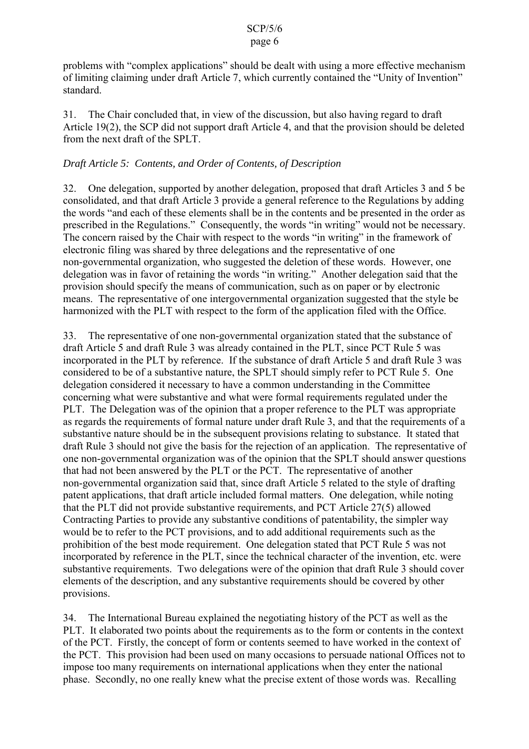problems with "complex applications" should be dealt with using a more effective mechanism of limiting claiming under draft Article 7, which currently contained the "Unity of Invention" standard.

31. The Chair concluded that, in view of the discussion, but also having regard to draft Article 19(2), the SCP did not support draft Article 4, and that the provision should be deleted from the next draft of the SPLT.

### *Draft Article 5: Contents, and Order of Contents, of Description*

32. One delegation, supported by another delegation, proposed that draft Articles 3 and 5 be consolidated, and that draft Article 3 provide a general reference to the Regulations by adding the words "and each of these elements shall be in the contents and be presented in the order as prescribed in the Regulations." Consequently, the words "in writing" would not be necessary. The concern raised by the Chair with respect to the words "in writing" in the framework of electronic filing was shared by three delegations and the representative of one non-governmental organization, who suggested the deletion of these words. However, one delegation was in favor of retaining the words "in writing." Another delegation said that the provision should specify the means of communication, such as on paper or by electronic means. The representative of one intergovernmental organization suggested that the style be harmonized with the PLT with respect to the form of the application filed with the Office.

33. The representative of one non-governmental organization stated that the substance of draft Article 5 and draft Rule 3 was already contained in the PLT, since PCT Rule 5 was incorporated in the PLT by reference. If the substance of draft Article 5 and draft Rule 3 was considered to be of a substantive nature, the SPLT should simply refer to PCT Rule 5. One delegation considered it necessary to have a common understanding in the Committee concerning what were substantive and what were formal requirements regulated under the PLT. The Delegation was of the opinion that a proper reference to the PLT was appropriate as regards the requirements of formal nature under draft Rule 3, and that the requirements of a substantive nature should be in the subsequent provisions relating to substance. It stated that draft Rule 3 should not give the basis for the rejection of an application. The representative of one non-governmental organization was of the opinion that the SPLT should answer questions that had not been answered by the PLT or the PCT. The representative of another non-governmental organization said that, since draft Article 5 related to the style of drafting patent applications, that draft article included formal matters. One delegation, while noting that the PLT did not provide substantive requirements, and PCT Article 27(5) allowed Contracting Parties to provide any substantive conditions of patentability, the simpler way would be to refer to the PCT provisions, and to add additional requirements such as the prohibition of the best mode requirement. One delegation stated that PCT Rule 5 was not incorporated by reference in the PLT, since the technical character of the invention, etc. were substantive requirements. Two delegations were of the opinion that draft Rule 3 should cover elements of the description, and any substantive requirements should be covered by other provisions.

34. The International Bureau explained the negotiating history of the PCT as well as the PLT. It elaborated two points about the requirements as to the form or contents in the context of the PCT. Firstly, the concept of form or contents seemed to have worked in the context of the PCT. This provision had been used on many occasions to persuade national Offices not to impose too many requirements on international applications when they enter the national phase. Secondly, no one really knew what the precise extent of those words was. Recalling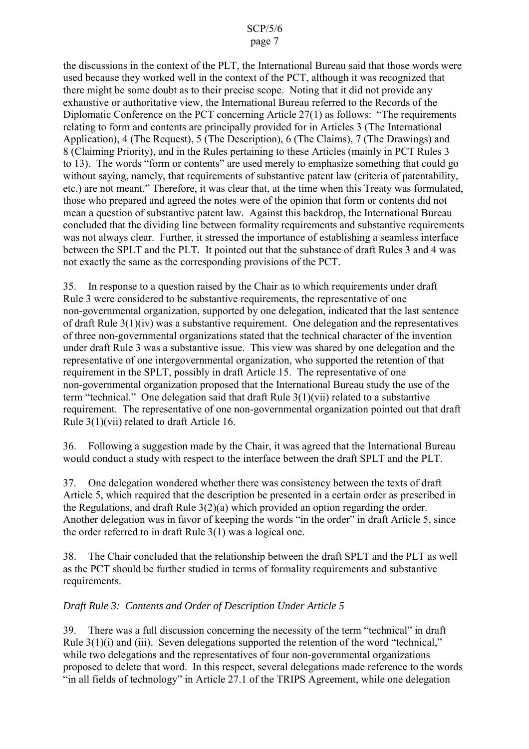# page 7

the discussions in the context of the PLT, the International Bureau said that those words were used because they worked well in the context of the PCT, although it was recognized that there might be some doubt as to their precise scope. Noting that it did not provide any exhaustive or authoritative view, the International Bureau referred to the Records of the Diplomatic Conference on the PCT concerning Article 27(1) as follows: "The requirements relating to form and contents are principally provided for in Articles 3 (The International Application), 4 (The Request), 5 (The Description), 6 (The Claims), 7 (The Drawings) and 8 (Claiming Priority), and in the Rules pertaining to these Articles (mainly in PCT Rules 3 to 13). The words "form or contents" are used merely to emphasize something that could go without saying, namely, that requirements of substantive patent law (criteria of patentability, etc.) are not meant." Therefore, it was clear that, at the time when this Treaty was formulated, those who prepared and agreed the notes were of the opinion that form or contents did not mean a question of substantive patent law. Against this backdrop, the International Bureau concluded that the dividing line between formality requirements and substantive requirements was not always clear. Further, it stressed the importance of establishing a seamless interface between the SPLT and the PLT. It pointed out that the substance of draft Rules 3 and 4 was not exactly the same as the corresponding provisions of the PCT.

35. In response to a question raised by the Chair as to which requirements under draft Rule 3 were considered to be substantive requirements, the representative of one non-governmental organization, supported by one delegation, indicated that the last sentence of draft Rule 3(1)(iv) was a substantive requirement. One delegation and the representatives of three non-governmental organizations stated that the technical character of the invention under draft Rule 3 was a substantive issue. This view was shared by one delegation and the representative of one intergovernmental organization, who supported the retention of that requirement in the SPLT, possibly in draft Article 15. The representative of one non-governmental organization proposed that the International Bureau study the use of the term "technical." One delegation said that draft Rule 3(1)(vii) related to a substantive requirement. The representative of one non-governmental organization pointed out that draft Rule 3(1)(vii) related to draft Article 16.

36. Following a suggestion made by the Chair, it was agreed that the International Bureau would conduct a study with respect to the interface between the draft SPLT and the PLT.

37. One delegation wondered whether there was consistency between the texts of draft Article 5, which required that the description be presented in a certain order as prescribed in the Regulations, and draft Rule 3(2)(a) which provided an option regarding the order. Another delegation was in favor of keeping the words "in the order" in draft Article 5, since the order referred to in draft Rule 3(1) was a logical one.

38. The Chair concluded that the relationship between the draft SPLT and the PLT as well as the PCT should be further studied in terms of formality requirements and substantive requirements.

# *Draft Rule 3: Contents and Order of Description Under Article 5*

39. There was a full discussion concerning the necessity of the term "technical" in draft Rule 3(1)(i) and (iii). Seven delegations supported the retention of the word "technical," while two delegations and the representatives of four non-governmental organizations proposed to delete that word. In this respect, several delegations made reference to the words "in all fields of technology" in Article 27.1 of the TRIPS Agreement, while one delegation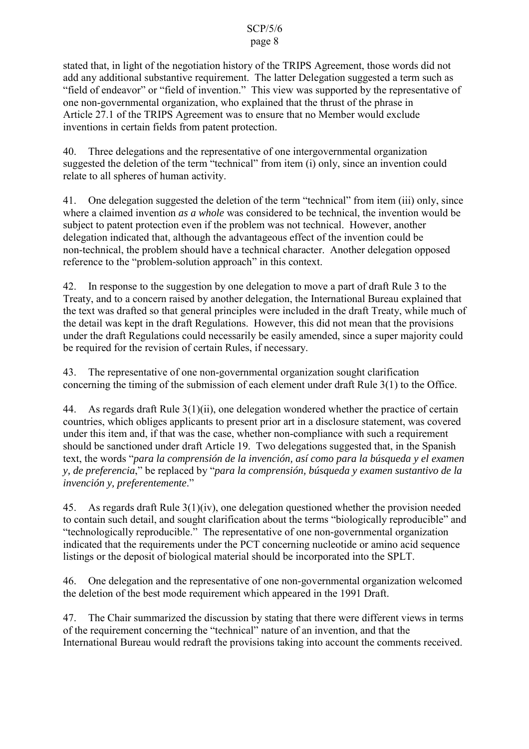stated that, in light of the negotiation history of the TRIPS Agreement, those words did not add any additional substantive requirement. The latter Delegation suggested a term such as "field of endeavor" or "field of invention." This view was supported by the representative of one non-governmental organization, who explained that the thrust of the phrase in Article 27.1 of the TRIPS Agreement was to ensure that no Member would exclude inventions in certain fields from patent protection.

40. Three delegations and the representative of one intergovernmental organization suggested the deletion of the term "technical" from item (i) only, since an invention could relate to all spheres of human activity.

41. One delegation suggested the deletion of the term "technical" from item (iii) only, since where a claimed invention *as a whole* was considered to be technical, the invention would be subject to patent protection even if the problem was not technical. However, another delegation indicated that, although the advantageous effect of the invention could be non-technical, the problem should have a technical character. Another delegation opposed reference to the "problem-solution approach" in this context.

42. In response to the suggestion by one delegation to move a part of draft Rule 3 to the Treaty, and to a concern raised by another delegation, the International Bureau explained that the text was drafted so that general principles were included in the draft Treaty, while much of the detail was kept in the draft Regulations. However, this did not mean that the provisions under the draft Regulations could necessarily be easily amended, since a super majority could be required for the revision of certain Rules, if necessary.

43. The representative of one non-governmental organization sought clarification concerning the timing of the submission of each element under draft Rule 3(1) to the Office.

44. As regards draft Rule 3(1)(ii), one delegation wondered whether the practice of certain countries, which obliges applicants to present prior art in a disclosure statement, was covered under this item and, if that was the case, whether non-compliance with such a requirement should be sanctioned under draft Article 19. Two delegations suggested that, in the Spanish text, the words "*para la comprensión de la invención, así como para la búsqueda y el examen y, de preferencia*," be replaced by "*para la comprensión, búsqueda y examen sustantivo de la invención y, preferentemente*."

45. As regards draft Rule 3(1)(iv), one delegation questioned whether the provision needed to contain such detail, and sought clarification about the terms "biologically reproducible" and "technologically reproducible." The representative of one non-governmental organization indicated that the requirements under the PCT concerning nucleotide or amino acid sequence listings or the deposit of biological material should be incorporated into the SPLT.

46. One delegation and the representative of one non-governmental organization welcomed the deletion of the best mode requirement which appeared in the 1991 Draft.

47. The Chair summarized the discussion by stating that there were different views in terms of the requirement concerning the "technical" nature of an invention, and that the International Bureau would redraft the provisions taking into account the comments received.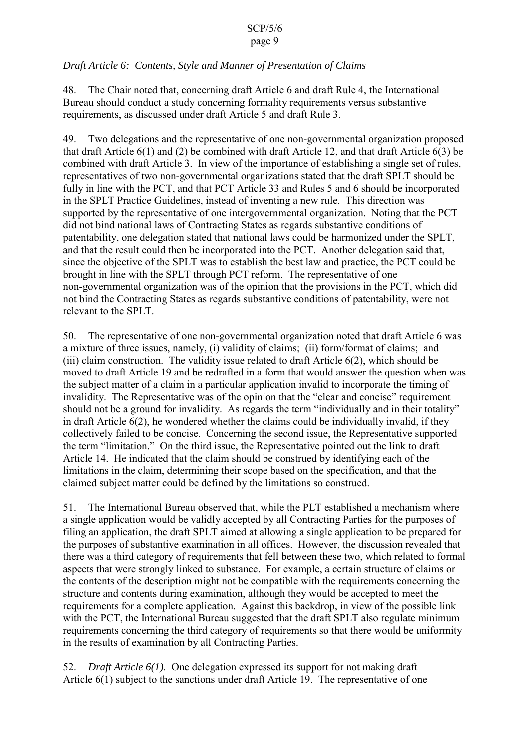### page 9

# *Draft Article 6: Contents, Style and Manner of Presentation of Claims*

48. The Chair noted that, concerning draft Article 6 and draft Rule 4, the International Bureau should conduct a study concerning formality requirements versus substantive requirements, as discussed under draft Article 5 and draft Rule 3.

49. Two delegations and the representative of one non-governmental organization proposed that draft Article 6(1) and (2) be combined with draft Article 12, and that draft Article 6(3) be combined with draft Article 3. In view of the importance of establishing a single set of rules, representatives of two non-governmental organizations stated that the draft SPLT should be fully in line with the PCT, and that PCT Article 33 and Rules 5 and 6 should be incorporated in the SPLT Practice Guidelines, instead of inventing a new rule. This direction was supported by the representative of one intergovernmental organization. Noting that the PCT did not bind national laws of Contracting States as regards substantive conditions of patentability, one delegation stated that national laws could be harmonized under the SPLT, and that the result could then be incorporated into the PCT. Another delegation said that, since the objective of the SPLT was to establish the best law and practice, the PCT could be brought in line with the SPLT through PCT reform. The representative of one non-governmental organization was of the opinion that the provisions in the PCT, which did not bind the Contracting States as regards substantive conditions of patentability, were not relevant to the SPLT.

50. The representative of one non-governmental organization noted that draft Article 6 was a mixture of three issues, namely, (i) validity of claims; (ii) form/format of claims; and (iii) claim construction. The validity issue related to draft Article 6(2), which should be moved to draft Article 19 and be redrafted in a form that would answer the question when was the subject matter of a claim in a particular application invalid to incorporate the timing of invalidity. The Representative was of the opinion that the "clear and concise" requirement should not be a ground for invalidity. As regards the term "individually and in their totality" in draft Article 6(2), he wondered whether the claims could be individually invalid, if they collectively failed to be concise. Concerning the second issue, the Representative supported the term "limitation." On the third issue, the Representative pointed out the link to draft Article 14. He indicated that the claim should be construed by identifying each of the limitations in the claim, determining their scope based on the specification, and that the claimed subject matter could be defined by the limitations so construed.

51. The International Bureau observed that, while the PLT established a mechanism where a single application would be validly accepted by all Contracting Parties for the purposes of filing an application, the draft SPLT aimed at allowing a single application to be prepared for the purposes of substantive examination in all offices. However, the discussion revealed that there was a third category of requirements that fell between these two, which related to formal aspects that were strongly linked to substance. For example, a certain structure of claims or the contents of the description might not be compatible with the requirements concerning the structure and contents during examination, although they would be accepted to meet the requirements for a complete application. Against this backdrop, in view of the possible link with the PCT, the International Bureau suggested that the draft SPLT also regulate minimum requirements concerning the third category of requirements so that there would be uniformity in the results of examination by all Contracting Parties.

52. *Draft Article 6(1)*. One delegation expressed its support for not making draft Article 6(1) subject to the sanctions under draft Article 19. The representative of one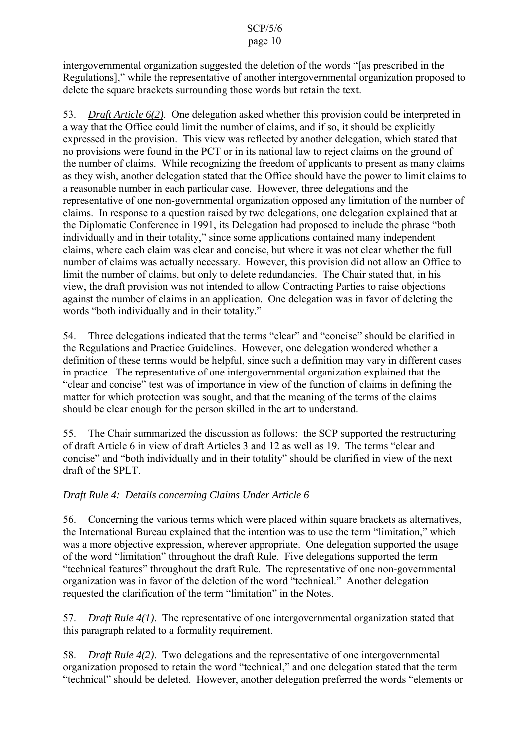# page 10

intergovernmental organization suggested the deletion of the words "[as prescribed in the Regulations]," while the representative of another intergovernmental organization proposed to delete the square brackets surrounding those words but retain the text.

53. *Draft Article 6(2)*. One delegation asked whether this provision could be interpreted in a way that the Office could limit the number of claims, and if so, it should be explicitly expressed in the provision. This view was reflected by another delegation, which stated that no provisions were found in the PCT or in its national law to reject claims on the ground of the number of claims. While recognizing the freedom of applicants to present as many claims as they wish, another delegation stated that the Office should have the power to limit claims to a reasonable number in each particular case. However, three delegations and the representative of one non-governmental organization opposed any limitation of the number of claims. In response to a question raised by two delegations, one delegation explained that at the Diplomatic Conference in 1991, its Delegation had proposed to include the phrase "both individually and in their totality," since some applications contained many independent claims, where each claim was clear and concise, but where it was not clear whether the full number of claims was actually necessary. However, this provision did not allow an Office to limit the number of claims, but only to delete redundancies. The Chair stated that, in his view, the draft provision was not intended to allow Contracting Parties to raise objections against the number of claims in an application. One delegation was in favor of deleting the words "both individually and in their totality."

54. Three delegations indicated that the terms "clear" and "concise" should be clarified in the Regulations and Practice Guidelines. However, one delegation wondered whether a definition of these terms would be helpful, since such a definition may vary in different cases in practice. The representative of one intergovernmental organization explained that the "clear and concise" test was of importance in view of the function of claims in defining the matter for which protection was sought, and that the meaning of the terms of the claims should be clear enough for the person skilled in the art to understand.

55. The Chair summarized the discussion as follows: the SCP supported the restructuring of draft Article 6 in view of draft Articles 3 and 12 as well as 19. The terms "clear and concise" and "both individually and in their totality" should be clarified in view of the next draft of the SPLT.

# *Draft Rule 4: Details concerning Claims Under Article 6*

56. Concerning the various terms which were placed within square brackets as alternatives, the International Bureau explained that the intention was to use the term "limitation," which was a more objective expression, wherever appropriate. One delegation supported the usage of the word "limitation" throughout the draft Rule. Five delegations supported the term "technical features" throughout the draft Rule. The representative of one non-governmental organization was in favor of the deletion of the word "technical." Another delegation requested the clarification of the term "limitation" in the Notes.

57. *Draft Rule 4(1)*. The representative of one intergovernmental organization stated that this paragraph related to a formality requirement.

58. *Draft Rule 4(2)*. Two delegations and the representative of one intergovernmental organization proposed to retain the word "technical," and one delegation stated that the term "technical" should be deleted. However, another delegation preferred the words "elements or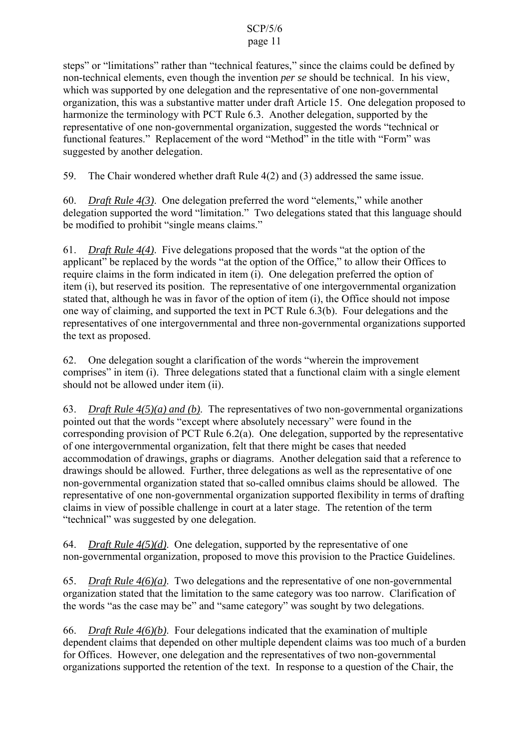# page 11

steps" or "limitations" rather than "technical features," since the claims could be defined by non-technical elements, even though the invention *per se* should be technical. In his view, which was supported by one delegation and the representative of one non-governmental organization, this was a substantive matter under draft Article 15. One delegation proposed to harmonize the terminology with PCT Rule 6.3. Another delegation, supported by the representative of one non-governmental organization, suggested the words "technical or functional features." Replacement of the word "Method" in the title with "Form" was suggested by another delegation.

59. The Chair wondered whether draft Rule 4(2) and (3) addressed the same issue.

60. *Draft Rule 4(3)*. One delegation preferred the word "elements," while another delegation supported the word "limitation." Two delegations stated that this language should be modified to prohibit "single means claims."

61. *Draft Rule 4(4)*. Five delegations proposed that the words "at the option of the applicant" be replaced by the words "at the option of the Office," to allow their Offices to require claims in the form indicated in item (i). One delegation preferred the option of item (i), but reserved its position. The representative of one intergovernmental organization stated that, although he was in favor of the option of item (i), the Office should not impose one way of claiming, and supported the text in PCT Rule 6.3(b). Four delegations and the representatives of one intergovernmental and three non-governmental organizations supported the text as proposed.

62. One delegation sought a clarification of the words "wherein the improvement comprises" in item (i). Three delegations stated that a functional claim with a single element should not be allowed under item (ii).

63. *Draft Rule 4(5)(a) and (b)*. The representatives of two non-governmental organizations pointed out that the words "except where absolutely necessary" were found in the corresponding provision of PCT Rule 6.2(a). One delegation, supported by the representative of one intergovernmental organization, felt that there might be cases that needed accommodation of drawings, graphs or diagrams. Another delegation said that a reference to drawings should be allowed. Further, three delegations as well as the representative of one non-governmental organization stated that so-called omnibus claims should be allowed. The representative of one non-governmental organization supported flexibility in terms of drafting claims in view of possible challenge in court at a later stage. The retention of the term "technical" was suggested by one delegation.

64. *Draft Rule 4(5)(d)*. One delegation, supported by the representative of one non-governmental organization, proposed to move this provision to the Practice Guidelines.

65. *Draft Rule 4(6)(a)*. Two delegations and the representative of one non-governmental organization stated that the limitation to the same category was too narrow. Clarification of the words "as the case may be" and "same category" was sought by two delegations.

66. *Draft Rule 4(6)(b)*. Four delegations indicated that the examination of multiple dependent claims that depended on other multiple dependent claims was too much of a burden for Offices. However, one delegation and the representatives of two non-governmental organizations supported the retention of the text. In response to a question of the Chair, the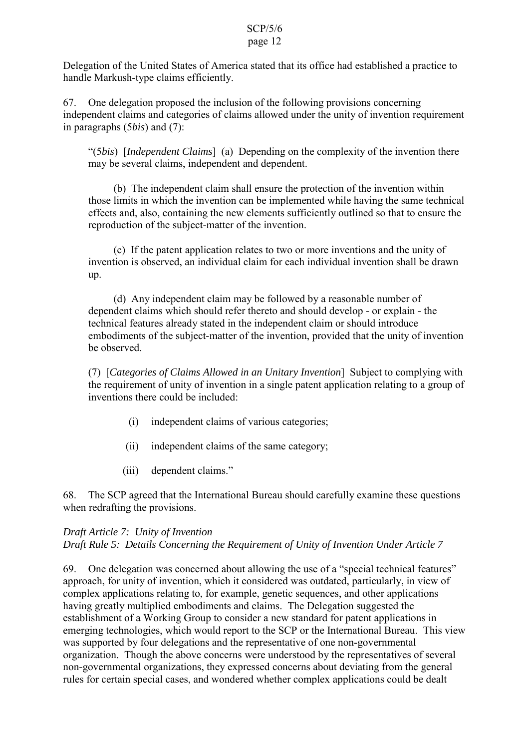Delegation of the United States of America stated that its office had established a practice to handle Markush-type claims efficiently.

67. One delegation proposed the inclusion of the following provisions concerning independent claims and categories of claims allowed under the unity of invention requirement in paragraphs (5*bis*) and (7):

"(5*bis*) [*Independent Claims*] (a) Depending on the complexity of the invention there may be several claims, independent and dependent.

(b) The independent claim shall ensure the protection of the invention within those limits in which the invention can be implemented while having the same technical effects and, also, containing the new elements sufficiently outlined so that to ensure the reproduction of the subject-matter of the invention.

(c) If the patent application relates to two or more inventions and the unity of invention is observed, an individual claim for each individual invention shall be drawn up.

(d) Any independent claim may be followed by a reasonable number of dependent claims which should refer thereto and should develop - or explain - the technical features already stated in the independent claim or should introduce embodiments of the subject-matter of the invention, provided that the unity of invention be observed.

(7) [*Categories of Claims Allowed in an Unitary Invention*] Subject to complying with the requirement of unity of invention in a single patent application relating to a group of inventions there could be included:

- (i) independent claims of various categories;
- (ii) independent claims of the same category;
- (iii) dependent claims."

68. The SCP agreed that the International Bureau should carefully examine these questions when redrafting the provisions.

# *Draft Article 7: Unity of Invention Draft Rule 5: Details Concerning the Requirement of Unity of Invention Under Article 7*

69. One delegation was concerned about allowing the use of a "special technical features" approach, for unity of invention, which it considered was outdated, particularly, in view of complex applications relating to, for example, genetic sequences, and other applications having greatly multiplied embodiments and claims. The Delegation suggested the establishment of a Working Group to consider a new standard for patent applications in emerging technologies, which would report to the SCP or the International Bureau. This view was supported by four delegations and the representative of one non-governmental organization. Though the above concerns were understood by the representatives of several non-governmental organizations, they expressed concerns about deviating from the general rules for certain special cases, and wondered whether complex applications could be dealt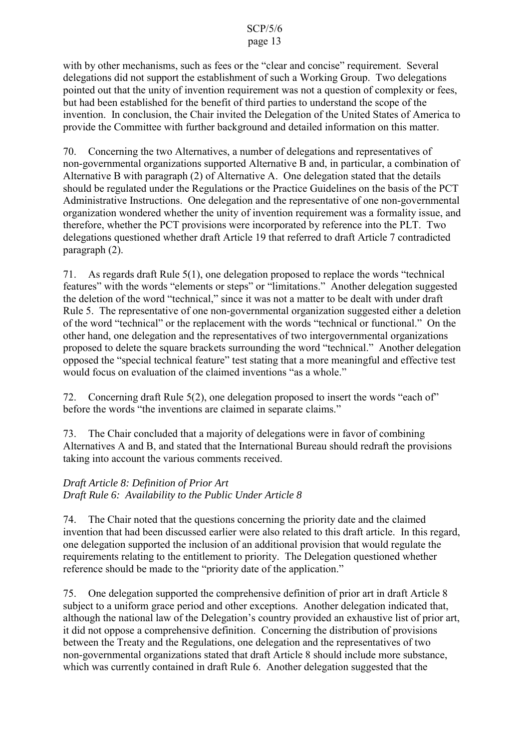# page 13

with by other mechanisms, such as fees or the "clear and concise" requirement. Several delegations did not support the establishment of such a Working Group. Two delegations pointed out that the unity of invention requirement was not a question of complexity or fees, but had been established for the benefit of third parties to understand the scope of the invention. In conclusion, the Chair invited the Delegation of the United States of America to provide the Committee with further background and detailed information on this matter.

70. Concerning the two Alternatives, a number of delegations and representatives of non-governmental organizations supported Alternative B and, in particular, a combination of Alternative B with paragraph (2) of Alternative A. One delegation stated that the details should be regulated under the Regulations or the Practice Guidelines on the basis of the PCT Administrative Instructions. One delegation and the representative of one non-governmental organization wondered whether the unity of invention requirement was a formality issue, and therefore, whether the PCT provisions were incorporated by reference into the PLT. Two delegations questioned whether draft Article 19 that referred to draft Article 7 contradicted paragraph (2).

71. As regards draft Rule 5(1), one delegation proposed to replace the words "technical features" with the words "elements or steps" or "limitations." Another delegation suggested the deletion of the word "technical," since it was not a matter to be dealt with under draft Rule 5. The representative of one non-governmental organization suggested either a deletion of the word "technical" or the replacement with the words "technical or functional." On the other hand, one delegation and the representatives of two intergovernmental organizations proposed to delete the square brackets surrounding the word "technical." Another delegation opposed the "special technical feature" test stating that a more meaningful and effective test would focus on evaluation of the claimed inventions "as a whole."

72. Concerning draft Rule 5(2), one delegation proposed to insert the words "each of" before the words "the inventions are claimed in separate claims."

73. The Chair concluded that a majority of delegations were in favor of combining Alternatives A and B, and stated that the International Bureau should redraft the provisions taking into account the various comments received.

# *Draft Article 8: Definition of Prior Art Draft Rule 6: Availability to the Public Under Article 8*

74. The Chair noted that the questions concerning the priority date and the claimed invention that had been discussed earlier were also related to this draft article. In this regard, one delegation supported the inclusion of an additional provision that would regulate the requirements relating to the entitlement to priority. The Delegation questioned whether reference should be made to the "priority date of the application."

75. One delegation supported the comprehensive definition of prior art in draft Article 8 subject to a uniform grace period and other exceptions. Another delegation indicated that, although the national law of the Delegation's country provided an exhaustive list of prior art, it did not oppose a comprehensive definition. Concerning the distribution of provisions between the Treaty and the Regulations, one delegation and the representatives of two non-governmental organizations stated that draft Article 8 should include more substance, which was currently contained in draft Rule 6. Another delegation suggested that the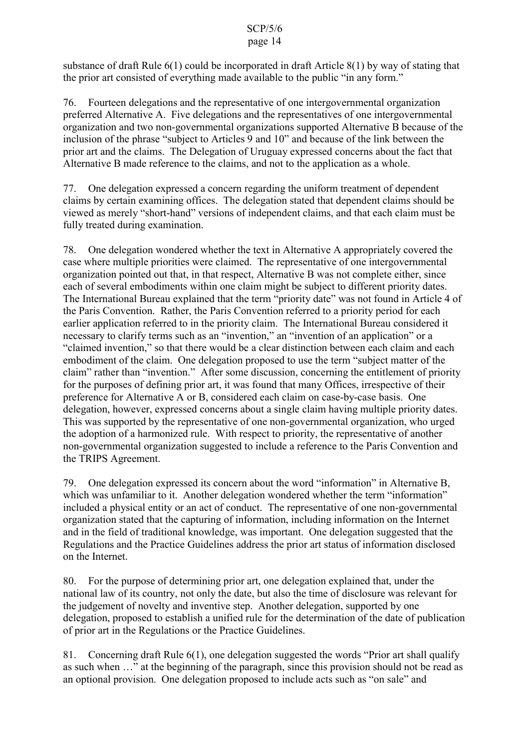# page 14

substance of draft Rule 6(1) could be incorporated in draft Article 8(1) by way of stating that the prior art consisted of everything made available to the public "in any form."

76. Fourteen delegations and the representative of one intergovernmental organization preferred Alternative A. Five delegations and the representatives of one intergovernmental organization and two non-governmental organizations supported Alternative B because of the inclusion of the phrase "subject to Articles 9 and 10" and because of the link between the prior art and the claims. The Delegation of Uruguay expressed concerns about the fact that Alternative B made reference to the claims, and not to the application as a whole.

77. One delegation expressed a concern regarding the uniform treatment of dependent claims by certain examining offices. The delegation stated that dependent claims should be viewed as merely "short-hand" versions of independent claims, and that each claim must be fully treated during examination.

78. One delegation wondered whether the text in Alternative A appropriately covered the case where multiple priorities were claimed. The representative of one intergovernmental organization pointed out that, in that respect, Alternative B was not complete either, since each of several embodiments within one claim might be subject to different priority dates. The International Bureau explained that the term "priority date" was not found in Article 4 of the Paris Convention. Rather, the Paris Convention referred to a priority period for each earlier application referred to in the priority claim. The International Bureau considered it necessary to clarify terms such as an "invention," an "invention of an application" or a "claimed invention," so that there would be a clear distinction between each claim and each embodiment of the claim. One delegation proposed to use the term "subject matter of the claim" rather than "invention." After some discussion, concerning the entitlement of priority for the purposes of defining prior art, it was found that many Offices, irrespective of their preference for Alternative A or B, considered each claim on case-by-case basis. One delegation, however, expressed concerns about a single claim having multiple priority dates. This was supported by the representative of one non-governmental organization, who urged the adoption of a harmonized rule. With respect to priority, the representative of another non-governmental organization suggested to include a reference to the Paris Convention and the TRIPS Agreement.

79. One delegation expressed its concern about the word "information" in Alternative B, which was unfamiliar to it. Another delegation wondered whether the term "information" included a physical entity or an act of conduct. The representative of one non-governmental organization stated that the capturing of information, including information on the Internet and in the field of traditional knowledge, was important. One delegation suggested that the Regulations and the Practice Guidelines address the prior art status of information disclosed on the Internet.

80. For the purpose of determining prior art, one delegation explained that, under the national law of its country, not only the date, but also the time of disclosure was relevant for the judgement of novelty and inventive step. Another delegation, supported by one delegation, proposed to establish a unified rule for the determination of the date of publication of prior art in the Regulations or the Practice Guidelines.

81. Concerning draft Rule 6(1), one delegation suggested the words "Prior art shall qualify as such when …" at the beginning of the paragraph, since this provision should not be read as an optional provision. One delegation proposed to include acts such as "on sale" and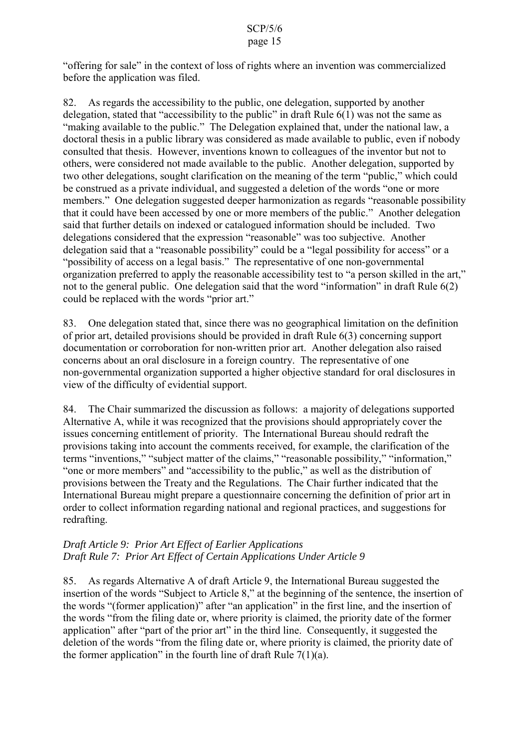"offering for sale" in the context of loss of rights where an invention was commercialized before the application was filed.

82. As regards the accessibility to the public, one delegation, supported by another delegation, stated that "accessibility to the public" in draft Rule  $6(1)$  was not the same as "making available to the public." The Delegation explained that, under the national law, a doctoral thesis in a public library was considered as made available to public, even if nobody consulted that thesis. However, inventions known to colleagues of the inventor but not to others, were considered not made available to the public. Another delegation, supported by two other delegations, sought clarification on the meaning of the term "public," which could be construed as a private individual, and suggested a deletion of the words "one or more members." One delegation suggested deeper harmonization as regards "reasonable possibility that it could have been accessed by one or more members of the public." Another delegation said that further details on indexed or catalogued information should be included. Two delegations considered that the expression "reasonable" was too subjective. Another delegation said that a "reasonable possibility" could be a "legal possibility for access" or a "possibility of access on a legal basis." The representative of one non-governmental organization preferred to apply the reasonable accessibility test to "a person skilled in the art," not to the general public. One delegation said that the word "information" in draft Rule 6(2) could be replaced with the words "prior art."

83. One delegation stated that, since there was no geographical limitation on the definition of prior art, detailed provisions should be provided in draft Rule 6(3) concerning support documentation or corroboration for non-written prior art. Another delegation also raised concerns about an oral disclosure in a foreign country. The representative of one non-governmental organization supported a higher objective standard for oral disclosures in view of the difficulty of evidential support.

84. The Chair summarized the discussion as follows: a majority of delegations supported Alternative A, while it was recognized that the provisions should appropriately cover the issues concerning entitlement of priority. The International Bureau should redraft the provisions taking into account the comments received, for example, the clarification of the terms "inventions," "subject matter of the claims," "reasonable possibility," "information," "one or more members" and "accessibility to the public," as well as the distribution of provisions between the Treaty and the Regulations. The Chair further indicated that the International Bureau might prepare a questionnaire concerning the definition of prior art in order to collect information regarding national and regional practices, and suggestions for redrafting.

# *Draft Article 9: Prior Art Effect of Earlier Applications Draft Rule 7: Prior Art Effect of Certain Applications Under Article 9*

85. As regards Alternative A of draft Article 9, the International Bureau suggested the insertion of the words "Subject to Article 8," at the beginning of the sentence, the insertion of the words "(former application)" after "an application" in the first line, and the insertion of the words "from the filing date or, where priority is claimed, the priority date of the former application" after "part of the prior art" in the third line. Consequently, it suggested the deletion of the words "from the filing date or, where priority is claimed, the priority date of the former application" in the fourth line of draft Rule  $7(1)(a)$ .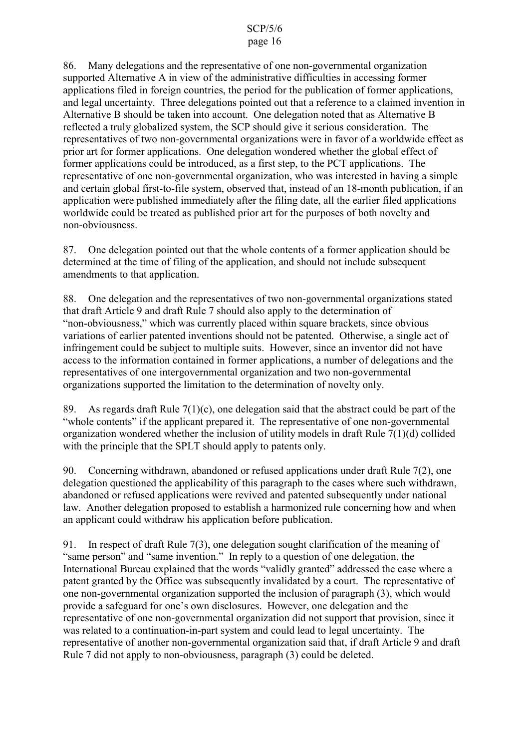86. Many delegations and the representative of one non-governmental organization supported Alternative A in view of the administrative difficulties in accessing former applications filed in foreign countries, the period for the publication of former applications, and legal uncertainty. Three delegations pointed out that a reference to a claimed invention in Alternative B should be taken into account. One delegation noted that as Alternative B reflected a truly globalized system, the SCP should give it serious consideration. The representatives of two non-governmental organizations were in favor of a worldwide effect as prior art for former applications. One delegation wondered whether the global effect of former applications could be introduced, as a first step, to the PCT applications. The representative of one non-governmental organization, who was interested in having a simple and certain global first-to-file system, observed that, instead of an 18-month publication, if an application were published immediately after the filing date, all the earlier filed applications worldwide could be treated as published prior art for the purposes of both novelty and non-obviousness.

87. One delegation pointed out that the whole contents of a former application should be determined at the time of filing of the application, and should not include subsequent amendments to that application.

88. One delegation and the representatives of two non-governmental organizations stated that draft Article 9 and draft Rule 7 should also apply to the determination of "non-obviousness," which was currently placed within square brackets, since obvious variations of earlier patented inventions should not be patented. Otherwise, a single act of infringement could be subject to multiple suits. However, since an inventor did not have access to the information contained in former applications, a number of delegations and the representatives of one intergovernmental organization and two non-governmental organizations supported the limitation to the determination of novelty only.

89. As regards draft Rule  $7(1)(c)$ , one delegation said that the abstract could be part of the "whole contents" if the applicant prepared it. The representative of one non-governmental organization wondered whether the inclusion of utility models in draft Rule 7(1)(d) collided with the principle that the SPLT should apply to patents only.

90. Concerning withdrawn, abandoned or refused applications under draft Rule 7(2), one delegation questioned the applicability of this paragraph to the cases where such withdrawn, abandoned or refused applications were revived and patented subsequently under national law. Another delegation proposed to establish a harmonized rule concerning how and when an applicant could withdraw his application before publication.

91. In respect of draft Rule 7(3), one delegation sought clarification of the meaning of "same person" and "same invention." In reply to a question of one delegation, the International Bureau explained that the words "validly granted" addressed the case where a patent granted by the Office was subsequently invalidated by a court. The representative of one non-governmental organization supported the inclusion of paragraph (3), which would provide a safeguard for one's own disclosures. However, one delegation and the representative of one non-governmental organization did not support that provision, since it was related to a continuation-in-part system and could lead to legal uncertainty. The representative of another non-governmental organization said that, if draft Article 9 and draft Rule 7 did not apply to non-obviousness, paragraph (3) could be deleted.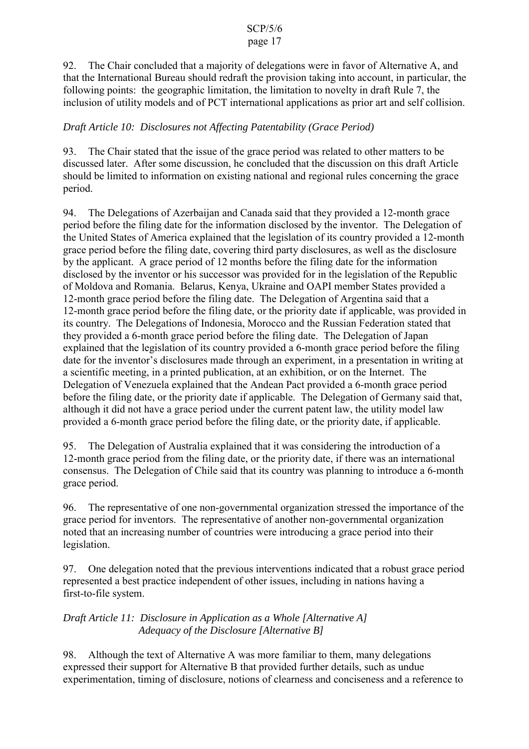# page 17

92. The Chair concluded that a majority of delegations were in favor of Alternative A, and that the International Bureau should redraft the provision taking into account, in particular, the following points: the geographic limitation, the limitation to novelty in draft Rule 7, the inclusion of utility models and of PCT international applications as prior art and self collision.

# *Draft Article 10: Disclosures not Affecting Patentability (Grace Period)*

93. The Chair stated that the issue of the grace period was related to other matters to be discussed later. After some discussion, he concluded that the discussion on this draft Article should be limited to information on existing national and regional rules concerning the grace period.

94. The Delegations of Azerbaijan and Canada said that they provided a 12-month grace period before the filing date for the information disclosed by the inventor. The Delegation of the United States of America explained that the legislation of its country provided a 12-month grace period before the filing date, covering third party disclosures, as well as the disclosure by the applicant. A grace period of 12 months before the filing date for the information disclosed by the inventor or his successor was provided for in the legislation of the Republic of Moldova and Romania. Belarus, Kenya, Ukraine and OAPI member States provided a 12-month grace period before the filing date. The Delegation of Argentina said that a 12-month grace period before the filing date, or the priority date if applicable, was provided in its country. The Delegations of Indonesia, Morocco and the Russian Federation stated that they provided a 6-month grace period before the filing date. The Delegation of Japan explained that the legislation of its country provided a 6-month grace period before the filing date for the inventor's disclosures made through an experiment, in a presentation in writing at a scientific meeting, in a printed publication, at an exhibition, or on the Internet. The Delegation of Venezuela explained that the Andean Pact provided a 6-month grace period before the filing date, or the priority date if applicable. The Delegation of Germany said that, although it did not have a grace period under the current patent law, the utility model law provided a 6-month grace period before the filing date, or the priority date, if applicable.

95. The Delegation of Australia explained that it was considering the introduction of a 12-month grace period from the filing date, or the priority date, if there was an international consensus. The Delegation of Chile said that its country was planning to introduce a 6-month grace period.

96. The representative of one non-governmental organization stressed the importance of the grace period for inventors. The representative of another non-governmental organization noted that an increasing number of countries were introducing a grace period into their legislation.

97. One delegation noted that the previous interventions indicated that a robust grace period represented a best practice independent of other issues, including in nations having a first-to-file system.

### *Draft Article 11: Disclosure in Application as a Whole [Alternative A] Adequacy of the Disclosure [Alternative B]*

98. Although the text of Alternative A was more familiar to them, many delegations expressed their support for Alternative B that provided further details, such as undue experimentation, timing of disclosure, notions of clearness and conciseness and a reference to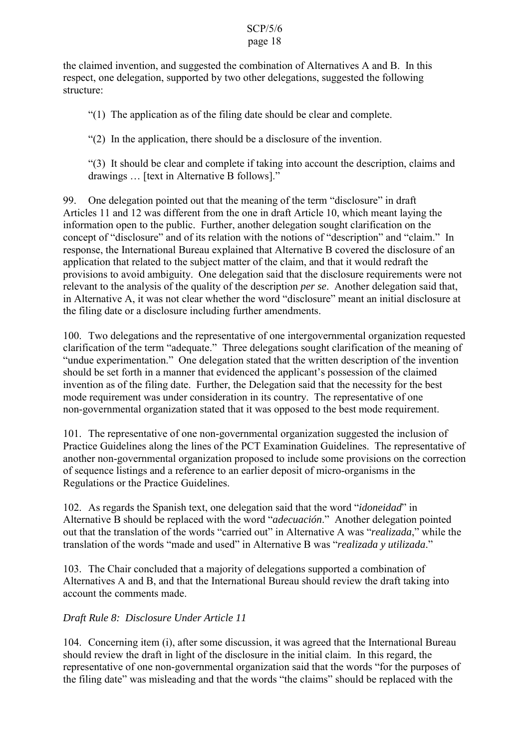the claimed invention, and suggested the combination of Alternatives A and B. In this respect, one delegation, supported by two other delegations, suggested the following structure:

"(1) The application as of the filing date should be clear and complete.

"(2) In the application, there should be a disclosure of the invention.

"(3) It should be clear and complete if taking into account the description, claims and drawings … [text in Alternative B follows]."

99. One delegation pointed out that the meaning of the term "disclosure" in draft Articles 11 and 12 was different from the one in draft Article 10, which meant laying the information open to the public. Further, another delegation sought clarification on the concept of "disclosure" and of its relation with the notions of "description" and "claim." In response, the International Bureau explained that Alternative B covered the disclosure of an application that related to the subject matter of the claim, and that it would redraft the provisions to avoid ambiguity. One delegation said that the disclosure requirements were not relevant to the analysis of the quality of the description *per se*. Another delegation said that, in Alternative A, it was not clear whether the word "disclosure" meant an initial disclosure at the filing date or a disclosure including further amendments.

100. Two delegations and the representative of one intergovernmental organization requested clarification of the term "adequate." Three delegations sought clarification of the meaning of "undue experimentation." One delegation stated that the written description of the invention should be set forth in a manner that evidenced the applicant's possession of the claimed invention as of the filing date. Further, the Delegation said that the necessity for the best mode requirement was under consideration in its country. The representative of one non-governmental organization stated that it was opposed to the best mode requirement.

101. The representative of one non-governmental organization suggested the inclusion of Practice Guidelines along the lines of the PCT Examination Guidelines. The representative of another non-governmental organization proposed to include some provisions on the correction of sequence listings and a reference to an earlier deposit of micro-organisms in the Regulations or the Practice Guidelines.

102. As regards the Spanish text, one delegation said that the word "*idoneidad*" in Alternative B should be replaced with the word "*adecuación*." Another delegation pointed out that the translation of the words "carried out" in Alternative A was "*realizada*," while the translation of the words "made and used" in Alternative B was "*realizada y utilizada*."

103. The Chair concluded that a majority of delegations supported a combination of Alternatives A and B, and that the International Bureau should review the draft taking into account the comments made.

# *Draft Rule 8: Disclosure Under Article 11*

104. Concerning item (i), after some discussion, it was agreed that the International Bureau should review the draft in light of the disclosure in the initial claim. In this regard, the representative of one non-governmental organization said that the words "for the purposes of the filing date" was misleading and that the words "the claims" should be replaced with the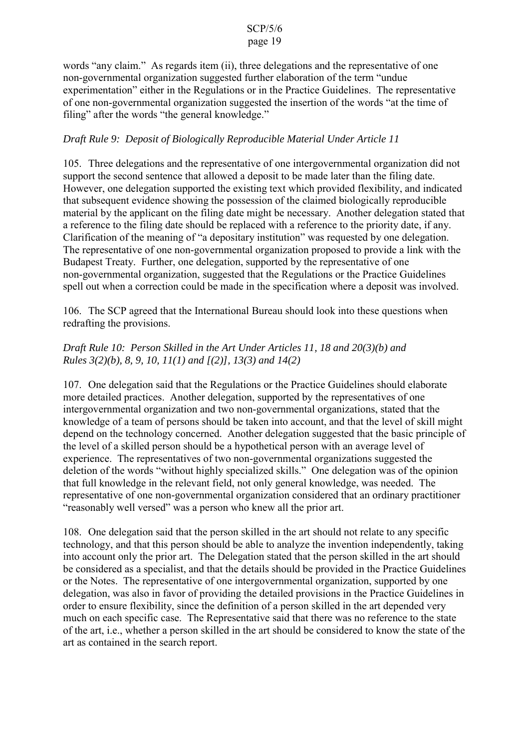words "any claim." As regards item (ii), three delegations and the representative of one non-governmental organization suggested further elaboration of the term "undue experimentation" either in the Regulations or in the Practice Guidelines. The representative of one non-governmental organization suggested the insertion of the words "at the time of filing" after the words "the general knowledge."

### *Draft Rule 9: Deposit of Biologically Reproducible Material Under Article 11*

105. Three delegations and the representative of one intergovernmental organization did not support the second sentence that allowed a deposit to be made later than the filing date. However, one delegation supported the existing text which provided flexibility, and indicated that subsequent evidence showing the possession of the claimed biologically reproducible material by the applicant on the filing date might be necessary. Another delegation stated that a reference to the filing date should be replaced with a reference to the priority date, if any. Clarification of the meaning of "a depositary institution" was requested by one delegation. The representative of one non-governmental organization proposed to provide a link with the Budapest Treaty. Further, one delegation, supported by the representative of one non-governmental organization, suggested that the Regulations or the Practice Guidelines spell out when a correction could be made in the specification where a deposit was involved.

106. The SCP agreed that the International Bureau should look into these questions when redrafting the provisions.

# *Draft Rule 10: Person Skilled in the Art Under Articles 11, 18 and 20(3)(b) and Rules 3(2)(b), 8, 9, 10, 11(1) and [(2)], 13(3) and 14(2)*

107. One delegation said that the Regulations or the Practice Guidelines should elaborate more detailed practices. Another delegation, supported by the representatives of one intergovernmental organization and two non-governmental organizations, stated that the knowledge of a team of persons should be taken into account, and that the level of skill might depend on the technology concerned. Another delegation suggested that the basic principle of the level of a skilled person should be a hypothetical person with an average level of experience. The representatives of two non-governmental organizations suggested the deletion of the words "without highly specialized skills." One delegation was of the opinion that full knowledge in the relevant field, not only general knowledge, was needed. The representative of one non-governmental organization considered that an ordinary practitioner "reasonably well versed" was a person who knew all the prior art.

108. One delegation said that the person skilled in the art should not relate to any specific technology, and that this person should be able to analyze the invention independently, taking into account only the prior art. The Delegation stated that the person skilled in the art should be considered as a specialist, and that the details should be provided in the Practice Guidelines or the Notes. The representative of one intergovernmental organization, supported by one delegation, was also in favor of providing the detailed provisions in the Practice Guidelines in order to ensure flexibility, since the definition of a person skilled in the art depended very much on each specific case. The Representative said that there was no reference to the state of the art, i.e., whether a person skilled in the art should be considered to know the state of the art as contained in the search report.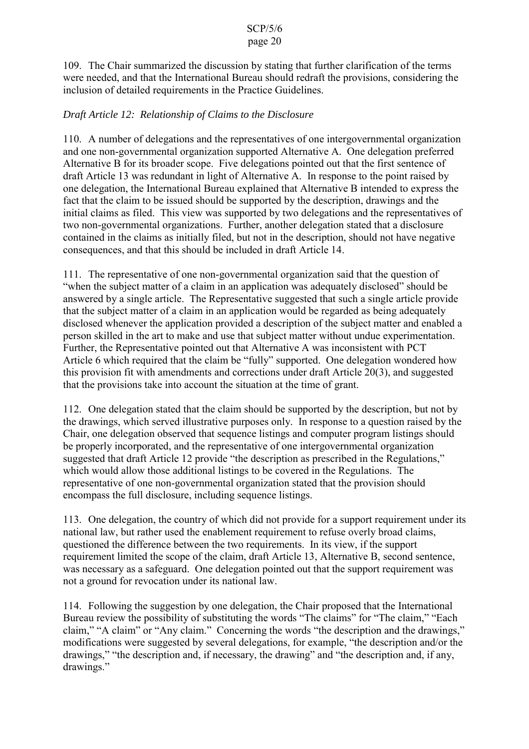109. The Chair summarized the discussion by stating that further clarification of the terms were needed, and that the International Bureau should redraft the provisions, considering the inclusion of detailed requirements in the Practice Guidelines.

# *Draft Article 12: Relationship of Claims to the Disclosure*

110. A number of delegations and the representatives of one intergovernmental organization and one non-governmental organization supported Alternative A. One delegation preferred Alternative B for its broader scope. Five delegations pointed out that the first sentence of draft Article 13 was redundant in light of Alternative A. In response to the point raised by one delegation, the International Bureau explained that Alternative B intended to express the fact that the claim to be issued should be supported by the description, drawings and the initial claims as filed. This view was supported by two delegations and the representatives of two non-governmental organizations. Further, another delegation stated that a disclosure contained in the claims as initially filed, but not in the description, should not have negative consequences, and that this should be included in draft Article 14.

111. The representative of one non-governmental organization said that the question of "when the subject matter of a claim in an application was adequately disclosed" should be answered by a single article. The Representative suggested that such a single article provide that the subject matter of a claim in an application would be regarded as being adequately disclosed whenever the application provided a description of the subject matter and enabled a person skilled in the art to make and use that subject matter without undue experimentation. Further, the Representative pointed out that Alternative A was inconsistent with PCT Article 6 which required that the claim be "fully" supported. One delegation wondered how this provision fit with amendments and corrections under draft Article 20(3), and suggested that the provisions take into account the situation at the time of grant.

112. One delegation stated that the claim should be supported by the description, but not by the drawings, which served illustrative purposes only. In response to a question raised by the Chair, one delegation observed that sequence listings and computer program listings should be properly incorporated, and the representative of one intergovernmental organization suggested that draft Article 12 provide "the description as prescribed in the Regulations," which would allow those additional listings to be covered in the Regulations. The representative of one non-governmental organization stated that the provision should encompass the full disclosure, including sequence listings.

113. One delegation, the country of which did not provide for a support requirement under its national law, but rather used the enablement requirement to refuse overly broad claims, questioned the difference between the two requirements. In its view, if the support requirement limited the scope of the claim, draft Article 13, Alternative B, second sentence, was necessary as a safeguard. One delegation pointed out that the support requirement was not a ground for revocation under its national law.

114. Following the suggestion by one delegation, the Chair proposed that the International Bureau review the possibility of substituting the words "The claims" for "The claim," "Each claim," "A claim" or "Any claim." Concerning the words "the description and the drawings," modifications were suggested by several delegations, for example, "the description and/or the drawings," "the description and, if necessary, the drawing" and "the description and, if any, drawings."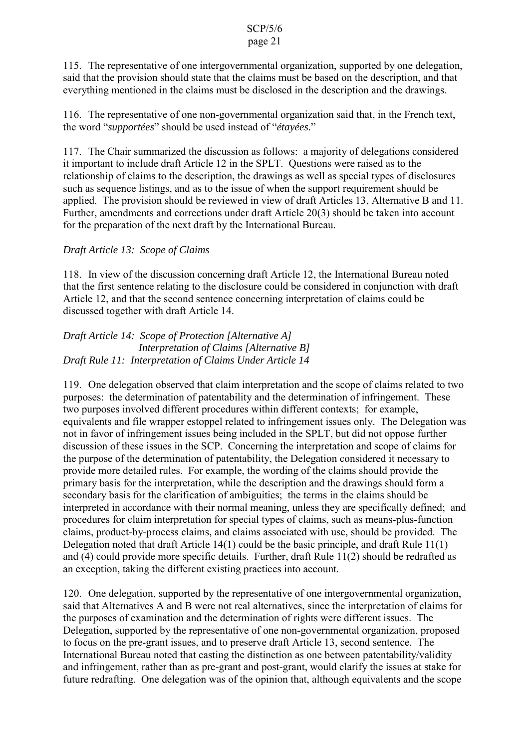115. The representative of one intergovernmental organization, supported by one delegation, said that the provision should state that the claims must be based on the description, and that everything mentioned in the claims must be disclosed in the description and the drawings.

116. The representative of one non-governmental organization said that, in the French text, the word "*supportées*" should be used instead of "*étayées*."

117. The Chair summarized the discussion as follows: a majority of delegations considered it important to include draft Article 12 in the SPLT. Questions were raised as to the relationship of claims to the description, the drawings as well as special types of disclosures such as sequence listings, and as to the issue of when the support requirement should be applied. The provision should be reviewed in view of draft Articles 13, Alternative B and 11. Further, amendments and corrections under draft Article 20(3) should be taken into account for the preparation of the next draft by the International Bureau.

# *Draft Article 13: Scope of Claims*

118. In view of the discussion concerning draft Article 12, the International Bureau noted that the first sentence relating to the disclosure could be considered in conjunction with draft Article 12, and that the second sentence concerning interpretation of claims could be discussed together with draft Article 14.

*Draft Article 14: Scope of Protection [Alternative A] Interpretation of Claims [Alternative B] Draft Rule 11: Interpretation of Claims Under Article 14*

119. One delegation observed that claim interpretation and the scope of claims related to two purposes: the determination of patentability and the determination of infringement. These two purposes involved different procedures within different contexts; for example, equivalents and file wrapper estoppel related to infringement issues only. The Delegation was not in favor of infringement issues being included in the SPLT, but did not oppose further discussion of these issues in the SCP. Concerning the interpretation and scope of claims for the purpose of the determination of patentability, the Delegation considered it necessary to provide more detailed rules. For example, the wording of the claims should provide the primary basis for the interpretation, while the description and the drawings should form a secondary basis for the clarification of ambiguities; the terms in the claims should be interpreted in accordance with their normal meaning, unless they are specifically defined; and procedures for claim interpretation for special types of claims, such as means-plus-function claims, product-by-process claims, and claims associated with use, should be provided. The Delegation noted that draft Article 14(1) could be the basic principle, and draft Rule 11(1) and (4) could provide more specific details. Further, draft Rule 11(2) should be redrafted as an exception, taking the different existing practices into account.

120. One delegation, supported by the representative of one intergovernmental organization, said that Alternatives A and B were not real alternatives, since the interpretation of claims for the purposes of examination and the determination of rights were different issues. The Delegation, supported by the representative of one non-governmental organization, proposed to focus on the pre-grant issues, and to preserve draft Article 13, second sentence. The International Bureau noted that casting the distinction as one between patentability/validity and infringement, rather than as pre-grant and post-grant, would clarify the issues at stake for future redrafting. One delegation was of the opinion that, although equivalents and the scope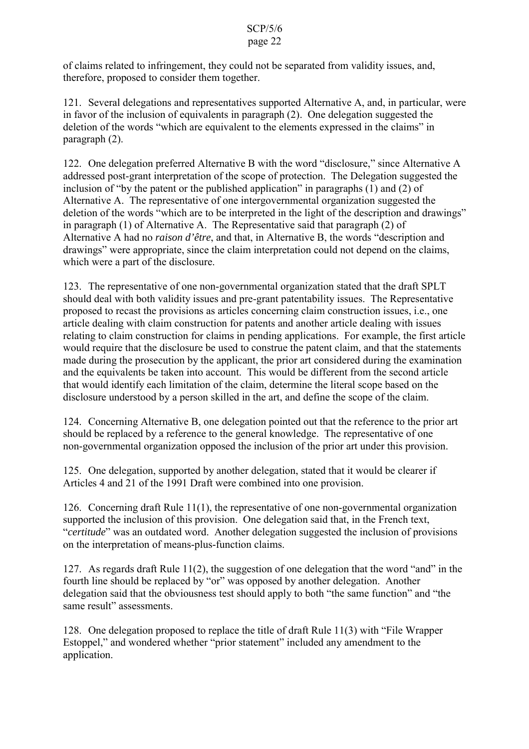of claims related to infringement, they could not be separated from validity issues, and, therefore, proposed to consider them together.

121. Several delegations and representatives supported Alternative A, and, in particular, were in favor of the inclusion of equivalents in paragraph (2). One delegation suggested the deletion of the words "which are equivalent to the elements expressed in the claims" in paragraph (2).

122. One delegation preferred Alternative B with the word "disclosure," since Alternative A addressed post-grant interpretation of the scope of protection. The Delegation suggested the inclusion of "by the patent or the published application" in paragraphs (1) and (2) of Alternative A. The representative of one intergovernmental organization suggested the deletion of the words "which are to be interpreted in the light of the description and drawings" in paragraph (1) of Alternative A. The Representative said that paragraph (2) of Alternative A had no *raison d'être*, and that, in Alternative B, the words "description and drawings" were appropriate, since the claim interpretation could not depend on the claims, which were a part of the disclosure.

123. The representative of one non-governmental organization stated that the draft SPLT should deal with both validity issues and pre-grant patentability issues. The Representative proposed to recast the provisions as articles concerning claim construction issues, i.e., one article dealing with claim construction for patents and another article dealing with issues relating to claim construction for claims in pending applications. For example, the first article would require that the disclosure be used to construe the patent claim, and that the statements made during the prosecution by the applicant, the prior art considered during the examination and the equivalents be taken into account. This would be different from the second article that would identify each limitation of the claim, determine the literal scope based on the disclosure understood by a person skilled in the art, and define the scope of the claim.

124. Concerning Alternative B, one delegation pointed out that the reference to the prior art should be replaced by a reference to the general knowledge. The representative of one non-governmental organization opposed the inclusion of the prior art under this provision.

125. One delegation, supported by another delegation, stated that it would be clearer if Articles 4 and 21 of the 1991 Draft were combined into one provision.

126. Concerning draft Rule 11(1), the representative of one non-governmental organization supported the inclusion of this provision. One delegation said that, in the French text, "*certitude*" was an outdated word. Another delegation suggested the inclusion of provisions on the interpretation of means-plus-function claims.

127. As regards draft Rule 11(2), the suggestion of one delegation that the word "and" in the fourth line should be replaced by "or" was opposed by another delegation. Another delegation said that the obviousness test should apply to both "the same function" and "the same result" assessments.

128. One delegation proposed to replace the title of draft Rule 11(3) with "File Wrapper Estoppel," and wondered whether "prior statement" included any amendment to the application.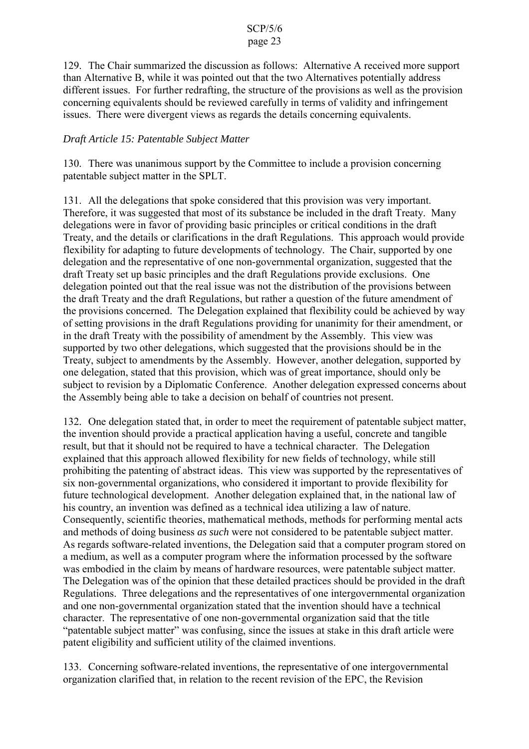129. The Chair summarized the discussion as follows: Alternative A received more support than Alternative B, while it was pointed out that the two Alternatives potentially address different issues. For further redrafting, the structure of the provisions as well as the provision concerning equivalents should be reviewed carefully in terms of validity and infringement issues. There were divergent views as regards the details concerning equivalents.

### *Draft Article 15: Patentable Subject Matter*

130. There was unanimous support by the Committee to include a provision concerning patentable subject matter in the SPLT.

131. All the delegations that spoke considered that this provision was very important. Therefore, it was suggested that most of its substance be included in the draft Treaty. Many delegations were in favor of providing basic principles or critical conditions in the draft Treaty, and the details or clarifications in the draft Regulations. This approach would provide flexibility for adapting to future developments of technology. The Chair, supported by one delegation and the representative of one non-governmental organization, suggested that the draft Treaty set up basic principles and the draft Regulations provide exclusions. One delegation pointed out that the real issue was not the distribution of the provisions between the draft Treaty and the draft Regulations, but rather a question of the future amendment of the provisions concerned. The Delegation explained that flexibility could be achieved by way of setting provisions in the draft Regulations providing for unanimity for their amendment, or in the draft Treaty with the possibility of amendment by the Assembly. This view was supported by two other delegations, which suggested that the provisions should be in the Treaty, subject to amendments by the Assembly. However, another delegation, supported by one delegation, stated that this provision, which was of great importance, should only be subject to revision by a Diplomatic Conference. Another delegation expressed concerns about the Assembly being able to take a decision on behalf of countries not present.

132. One delegation stated that, in order to meet the requirement of patentable subject matter, the invention should provide a practical application having a useful, concrete and tangible result, but that it should not be required to have a technical character. The Delegation explained that this approach allowed flexibility for new fields of technology, while still prohibiting the patenting of abstract ideas. This view was supported by the representatives of six non-governmental organizations, who considered it important to provide flexibility for future technological development. Another delegation explained that, in the national law of his country, an invention was defined as a technical idea utilizing a law of nature. Consequently, scientific theories, mathematical methods, methods for performing mental acts and methods of doing business *as such* were not considered to be patentable subject matter. As regards software-related inventions, the Delegation said that a computer program stored on a medium, as well as a computer program where the information processed by the software was embodied in the claim by means of hardware resources, were patentable subject matter. The Delegation was of the opinion that these detailed practices should be provided in the draft Regulations. Three delegations and the representatives of one intergovernmental organization and one non-governmental organization stated that the invention should have a technical character. The representative of one non-governmental organization said that the title "patentable subject matter" was confusing, since the issues at stake in this draft article were patent eligibility and sufficient utility of the claimed inventions.

133. Concerning software-related inventions, the representative of one intergovernmental organization clarified that, in relation to the recent revision of the EPC, the Revision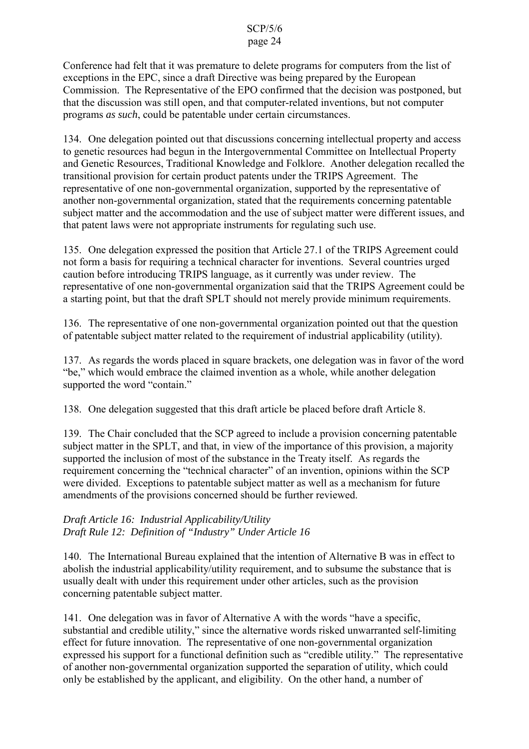Conference had felt that it was premature to delete programs for computers from the list of exceptions in the EPC, since a draft Directive was being prepared by the European Commission. The Representative of the EPO confirmed that the decision was postponed, but that the discussion was still open, and that computer-related inventions, but not computer programs *as such*, could be patentable under certain circumstances.

134. One delegation pointed out that discussions concerning intellectual property and access to genetic resources had begun in the Intergovernmental Committee on Intellectual Property and Genetic Resources, Traditional Knowledge and Folklore. Another delegation recalled the transitional provision for certain product patents under the TRIPS Agreement. The representative of one non-governmental organization, supported by the representative of another non-governmental organization, stated that the requirements concerning patentable subject matter and the accommodation and the use of subject matter were different issues, and that patent laws were not appropriate instruments for regulating such use.

135. One delegation expressed the position that Article 27.1 of the TRIPS Agreement could not form a basis for requiring a technical character for inventions. Several countries urged caution before introducing TRIPS language, as it currently was under review. The representative of one non-governmental organization said that the TRIPS Agreement could be a starting point, but that the draft SPLT should not merely provide minimum requirements.

136. The representative of one non-governmental organization pointed out that the question of patentable subject matter related to the requirement of industrial applicability (utility).

137. As regards the words placed in square brackets, one delegation was in favor of the word "be," which would embrace the claimed invention as a whole, while another delegation supported the word "contain."

138. One delegation suggested that this draft article be placed before draft Article 8.

139. The Chair concluded that the SCP agreed to include a provision concerning patentable subject matter in the SPLT, and that, in view of the importance of this provision, a majority supported the inclusion of most of the substance in the Treaty itself. As regards the requirement concerning the "technical character" of an invention, opinions within the SCP were divided. Exceptions to patentable subject matter as well as a mechanism for future amendments of the provisions concerned should be further reviewed.

# *Draft Article 16: Industrial Applicability/Utility Draft Rule 12: Definition of "Industry" Under Article 16*

140. The International Bureau explained that the intention of Alternative B was in effect to abolish the industrial applicability/utility requirement, and to subsume the substance that is usually dealt with under this requirement under other articles, such as the provision concerning patentable subject matter.

141. One delegation was in favor of Alternative A with the words "have a specific, substantial and credible utility," since the alternative words risked unwarranted self-limiting effect for future innovation. The representative of one non-governmental organization expressed his support for a functional definition such as "credible utility." The representative of another non-governmental organization supported the separation of utility, which could only be established by the applicant, and eligibility. On the other hand, a number of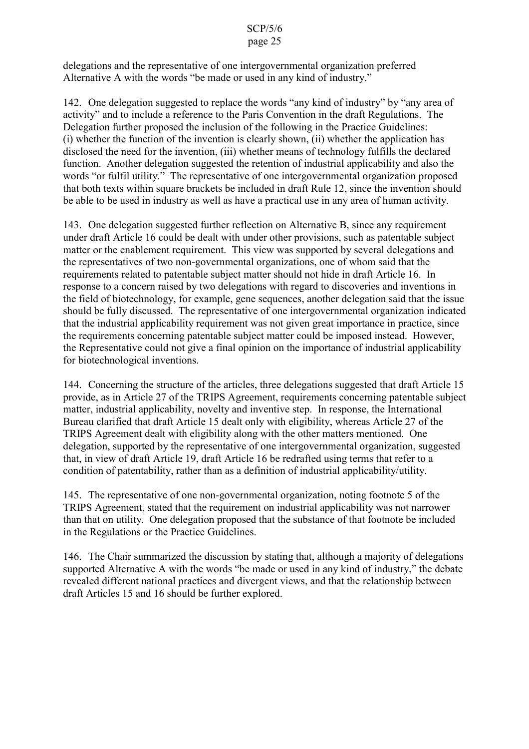delegations and the representative of one intergovernmental organization preferred Alternative A with the words "be made or used in any kind of industry."

142. One delegation suggested to replace the words "any kind of industry" by "any area of activity" and to include a reference to the Paris Convention in the draft Regulations. The Delegation further proposed the inclusion of the following in the Practice Guidelines: (i) whether the function of the invention is clearly shown, (ii) whether the application has disclosed the need for the invention, (iii) whether means of technology fulfills the declared function. Another delegation suggested the retention of industrial applicability and also the words "or fulfil utility." The representative of one intergovernmental organization proposed that both texts within square brackets be included in draft Rule 12, since the invention should be able to be used in industry as well as have a practical use in any area of human activity.

143. One delegation suggested further reflection on Alternative B, since any requirement under draft Article 16 could be dealt with under other provisions, such as patentable subject matter or the enablement requirement. This view was supported by several delegations and the representatives of two non-governmental organizations, one of whom said that the requirements related to patentable subject matter should not hide in draft Article 16. In response to a concern raised by two delegations with regard to discoveries and inventions in the field of biotechnology, for example, gene sequences, another delegation said that the issue should be fully discussed. The representative of one intergovernmental organization indicated that the industrial applicability requirement was not given great importance in practice, since the requirements concerning patentable subject matter could be imposed instead. However, the Representative could not give a final opinion on the importance of industrial applicability for biotechnological inventions.

144. Concerning the structure of the articles, three delegations suggested that draft Article 15 provide, as in Article 27 of the TRIPS Agreement, requirements concerning patentable subject matter, industrial applicability, novelty and inventive step. In response, the International Bureau clarified that draft Article 15 dealt only with eligibility, whereas Article 27 of the TRIPS Agreement dealt with eligibility along with the other matters mentioned. One delegation, supported by the representative of one intergovernmental organization, suggested that, in view of draft Article 19, draft Article 16 be redrafted using terms that refer to a condition of patentability, rather than as a definition of industrial applicability/utility.

145. The representative of one non-governmental organization, noting footnote 5 of the TRIPS Agreement, stated that the requirement on industrial applicability was not narrower than that on utility. One delegation proposed that the substance of that footnote be included in the Regulations or the Practice Guidelines.

146. The Chair summarized the discussion by stating that, although a majority of delegations supported Alternative A with the words "be made or used in any kind of industry," the debate revealed different national practices and divergent views, and that the relationship between draft Articles 15 and 16 should be further explored.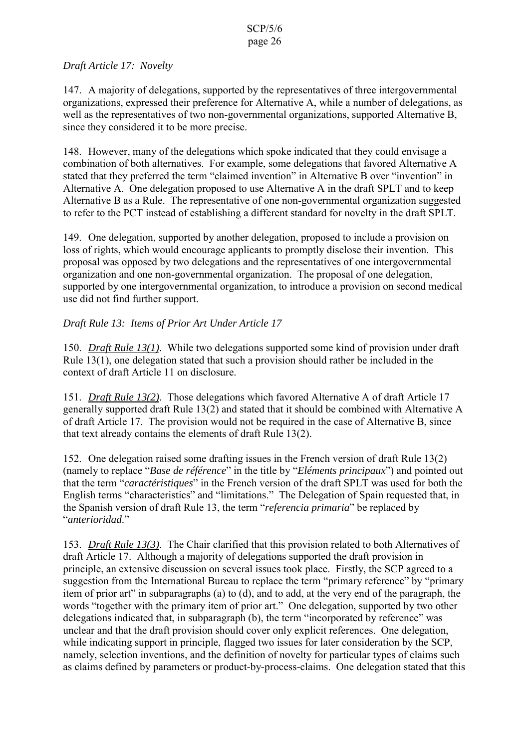# *Draft Article 17: Novelty*

147. A majority of delegations, supported by the representatives of three intergovernmental organizations, expressed their preference for Alternative A, while a number of delegations, as well as the representatives of two non-governmental organizations, supported Alternative B, since they considered it to be more precise.

148. However, many of the delegations which spoke indicated that they could envisage a combination of both alternatives. For example, some delegations that favored Alternative A stated that they preferred the term "claimed invention" in Alternative B over "invention" in Alternative A. One delegation proposed to use Alternative A in the draft SPLT and to keep Alternative B as a Rule. The representative of one non-governmental organization suggested to refer to the PCT instead of establishing a different standard for novelty in the draft SPLT.

149. One delegation, supported by another delegation, proposed to include a provision on loss of rights, which would encourage applicants to promptly disclose their invention. This proposal was opposed by two delegations and the representatives of one intergovernmental organization and one non-governmental organization. The proposal of one delegation, supported by one intergovernmental organization, to introduce a provision on second medical use did not find further support.

# *Draft Rule 13: Items of Prior Art Under Article 17*

150. *Draft Rule 13(1)*. While two delegations supported some kind of provision under draft Rule 13(1), one delegation stated that such a provision should rather be included in the context of draft Article 11 on disclosure.

151. *Draft Rule 13(2)*. Those delegations which favored Alternative A of draft Article 17 generally supported draft Rule 13(2) and stated that it should be combined with Alternative A of draft Article 17. The provision would not be required in the case of Alternative B, since that text already contains the elements of draft Rule 13(2).

152. One delegation raised some drafting issues in the French version of draft Rule 13(2) (namely to replace "*Base de référence*" in the title by "*Eléments principaux*") and pointed out that the term "*caractéristiques*" in the French version of the draft SPLT was used for both the English terms "characteristics" and "limitations." The Delegation of Spain requested that, in the Spanish version of draft Rule 13, the term "*referencia primaria*" be replaced by "*anterioridad*."

153. *Draft Rule 13(3)*. The Chair clarified that this provision related to both Alternatives of draft Article 17. Although a majority of delegations supported the draft provision in principle, an extensive discussion on several issues took place. Firstly, the SCP agreed to a suggestion from the International Bureau to replace the term "primary reference" by "primary item of prior art" in subparagraphs (a) to (d), and to add, at the very end of the paragraph, the words "together with the primary item of prior art." One delegation, supported by two other delegations indicated that, in subparagraph (b), the term "incorporated by reference" was unclear and that the draft provision should cover only explicit references. One delegation, while indicating support in principle, flagged two issues for later consideration by the SCP, namely, selection inventions, and the definition of novelty for particular types of claims such as claims defined by parameters or product-by-process-claims. One delegation stated that this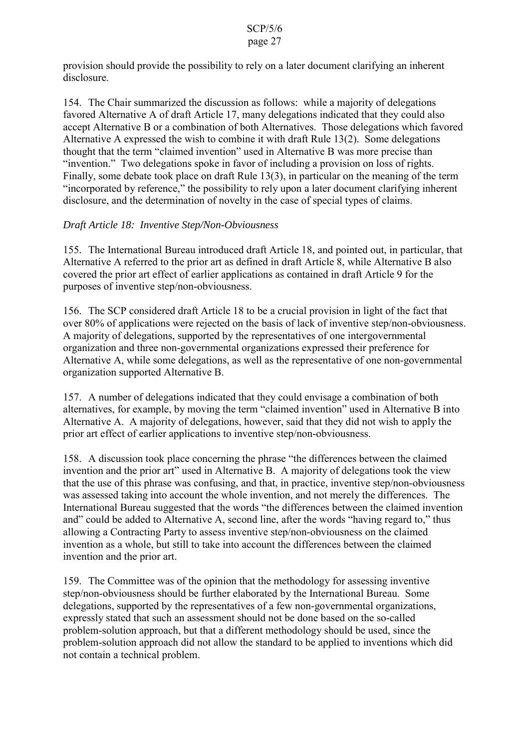provision should provide the possibility to rely on a later document clarifying an inherent disclosure.

154. The Chair summarized the discussion as follows: while a majority of delegations favored Alternative A of draft Article 17, many delegations indicated that they could also accept Alternative B or a combination of both Alternatives. Those delegations which favored Alternative A expressed the wish to combine it with draft Rule 13(2). Some delegations thought that the term "claimed invention" used in Alternative B was more precise than "invention." Two delegations spoke in favor of including a provision on loss of rights. Finally, some debate took place on draft Rule 13(3), in particular on the meaning of the term "incorporated by reference," the possibility to rely upon a later document clarifying inherent disclosure, and the determination of novelty in the case of special types of claims.

# *Draft Article 18: Inventive Step/Non-Obviousness*

155. The International Bureau introduced draft Article 18, and pointed out, in particular, that Alternative A referred to the prior art as defined in draft Article 8, while Alternative B also covered the prior art effect of earlier applications as contained in draft Article 9 for the purposes of inventive step/non-obviousness.

156. The SCP considered draft Article 18 to be a crucial provision in light of the fact that over 80% of applications were rejected on the basis of lack of inventive step/non-obviousness. A majority of delegations, supported by the representatives of one intergovernmental organization and three non-governmental organizations expressed their preference for Alternative A, while some delegations, as well as the representative of one non-governmental organization supported Alternative B.

157. A number of delegations indicated that they could envisage a combination of both alternatives, for example, by moving the term "claimed invention" used in Alternative B into Alternative A. A majority of delegations, however, said that they did not wish to apply the prior art effect of earlier applications to inventive step/non-obviousness.

158. A discussion took place concerning the phrase "the differences between the claimed invention and the prior art" used in Alternative B. A majority of delegations took the view that the use of this phrase was confusing, and that, in practice, inventive step/non-obviousness was assessed taking into account the whole invention, and not merely the differences. The International Bureau suggested that the words "the differences between the claimed invention and" could be added to Alternative A, second line, after the words "having regard to," thus allowing a Contracting Party to assess inventive step/non-obviousness on the claimed invention as a whole, but still to take into account the differences between the claimed invention and the prior art.

159. The Committee was of the opinion that the methodology for assessing inventive step/non-obviousness should be further elaborated by the International Bureau. Some delegations, supported by the representatives of a few non-governmental organizations, expressly stated that such an assessment should not be done based on the so-called problem-solution approach, but that a different methodology should be used, since the problem-solution approach did not allow the standard to be applied to inventions which did not contain a technical problem.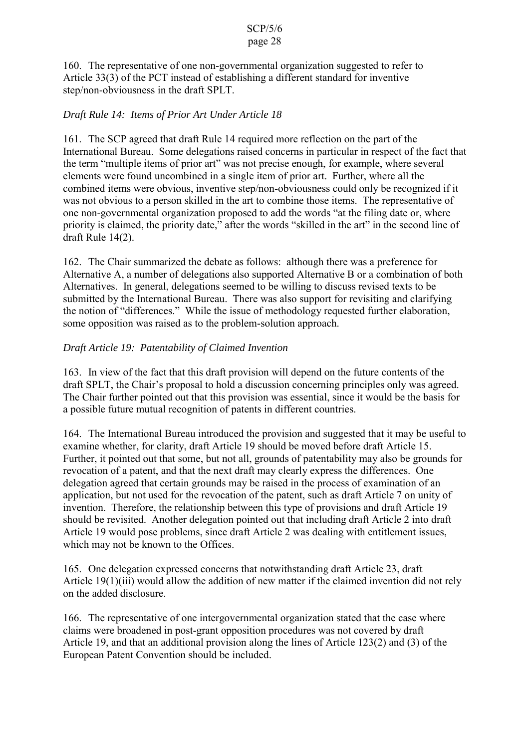160. The representative of one non-governmental organization suggested to refer to Article 33(3) of the PCT instead of establishing a different standard for inventive step/non-obviousness in the draft SPLT.

# *Draft Rule 14: Items of Prior Art Under Article 18*

161. The SCP agreed that draft Rule 14 required more reflection on the part of the International Bureau. Some delegations raised concerns in particular in respect of the fact that the term "multiple items of prior art" was not precise enough, for example, where several elements were found uncombined in a single item of prior art. Further, where all the combined items were obvious, inventive step/non-obviousness could only be recognized if it was not obvious to a person skilled in the art to combine those items. The representative of one non-governmental organization proposed to add the words "at the filing date or, where priority is claimed, the priority date," after the words "skilled in the art" in the second line of draft Rule 14(2).

162. The Chair summarized the debate as follows: although there was a preference for Alternative A, a number of delegations also supported Alternative B or a combination of both Alternatives. In general, delegations seemed to be willing to discuss revised texts to be submitted by the International Bureau. There was also support for revisiting and clarifying the notion of "differences." While the issue of methodology requested further elaboration, some opposition was raised as to the problem-solution approach.

# *Draft Article 19: Patentability of Claimed Invention*

163. In view of the fact that this draft provision will depend on the future contents of the draft SPLT, the Chair's proposal to hold a discussion concerning principles only was agreed. The Chair further pointed out that this provision was essential, since it would be the basis for a possible future mutual recognition of patents in different countries.

164. The International Bureau introduced the provision and suggested that it may be useful to examine whether, for clarity, draft Article 19 should be moved before draft Article 15. Further, it pointed out that some, but not all, grounds of patentability may also be grounds for revocation of a patent, and that the next draft may clearly express the differences. One delegation agreed that certain grounds may be raised in the process of examination of an application, but not used for the revocation of the patent, such as draft Article 7 on unity of invention. Therefore, the relationship between this type of provisions and draft Article 19 should be revisited. Another delegation pointed out that including draft Article 2 into draft Article 19 would pose problems, since draft Article 2 was dealing with entitlement issues, which may not be known to the Offices.

165. One delegation expressed concerns that notwithstanding draft Article 23, draft Article 19(1)(iii) would allow the addition of new matter if the claimed invention did not rely on the added disclosure.

166. The representative of one intergovernmental organization stated that the case where claims were broadened in post-grant opposition procedures was not covered by draft Article 19, and that an additional provision along the lines of Article 123(2) and (3) of the European Patent Convention should be included.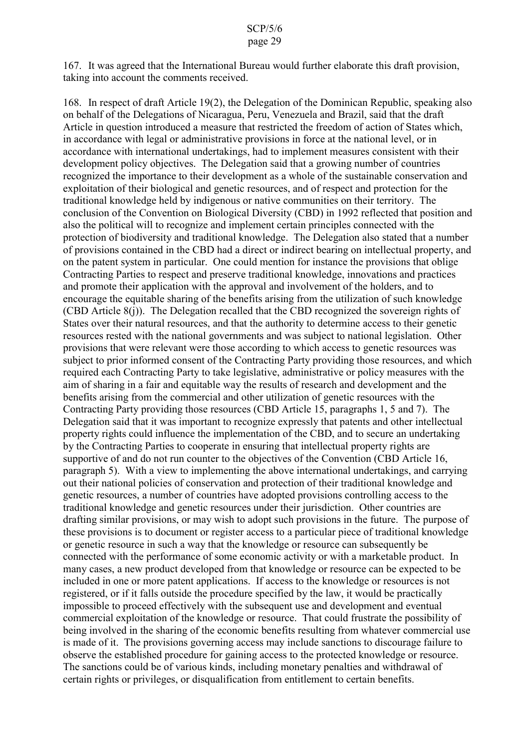167. It was agreed that the International Bureau would further elaborate this draft provision, taking into account the comments received.

168. In respect of draft Article 19(2), the Delegation of the Dominican Republic, speaking also on behalf of the Delegations of Nicaragua, Peru, Venezuela and Brazil, said that the draft Article in question introduced a measure that restricted the freedom of action of States which, in accordance with legal or administrative provisions in force at the national level, or in accordance with international undertakings, had to implement measures consistent with their development policy objectives. The Delegation said that a growing number of countries recognized the importance to their development as a whole of the sustainable conservation and exploitation of their biological and genetic resources, and of respect and protection for the traditional knowledge held by indigenous or native communities on their territory. The conclusion of the Convention on Biological Diversity (CBD) in 1992 reflected that position and also the political will to recognize and implement certain principles connected with the protection of biodiversity and traditional knowledge. The Delegation also stated that a number of provisions contained in the CBD had a direct or indirect bearing on intellectual property, and on the patent system in particular. One could mention for instance the provisions that oblige Contracting Parties to respect and preserve traditional knowledge, innovations and practices and promote their application with the approval and involvement of the holders, and to encourage the equitable sharing of the benefits arising from the utilization of such knowledge (CBD Article 8(j)). The Delegation recalled that the CBD recognized the sovereign rights of States over their natural resources, and that the authority to determine access to their genetic resources rested with the national governments and was subject to national legislation. Other provisions that were relevant were those according to which access to genetic resources was subject to prior informed consent of the Contracting Party providing those resources, and which required each Contracting Party to take legislative, administrative or policy measures with the aim of sharing in a fair and equitable way the results of research and development and the benefits arising from the commercial and other utilization of genetic resources with the Contracting Party providing those resources (CBD Article 15, paragraphs 1, 5 and 7). The Delegation said that it was important to recognize expressly that patents and other intellectual property rights could influence the implementation of the CBD, and to secure an undertaking by the Contracting Parties to cooperate in ensuring that intellectual property rights are supportive of and do not run counter to the objectives of the Convention (CBD Article 16, paragraph 5). With a view to implementing the above international undertakings, and carrying out their national policies of conservation and protection of their traditional knowledge and genetic resources, a number of countries have adopted provisions controlling access to the traditional knowledge and genetic resources under their jurisdiction. Other countries are drafting similar provisions, or may wish to adopt such provisions in the future. The purpose of these provisions is to document or register access to a particular piece of traditional knowledge or genetic resource in such a way that the knowledge or resource can subsequently be connected with the performance of some economic activity or with a marketable product. In many cases, a new product developed from that knowledge or resource can be expected to be included in one or more patent applications. If access to the knowledge or resources is not registered, or if it falls outside the procedure specified by the law, it would be practically impossible to proceed effectively with the subsequent use and development and eventual commercial exploitation of the knowledge or resource. That could frustrate the possibility of being involved in the sharing of the economic benefits resulting from whatever commercial use is made of it. The provisions governing access may include sanctions to discourage failure to observe the established procedure for gaining access to the protected knowledge or resource. The sanctions could be of various kinds, including monetary penalties and withdrawal of certain rights or privileges, or disqualification from entitlement to certain benefits.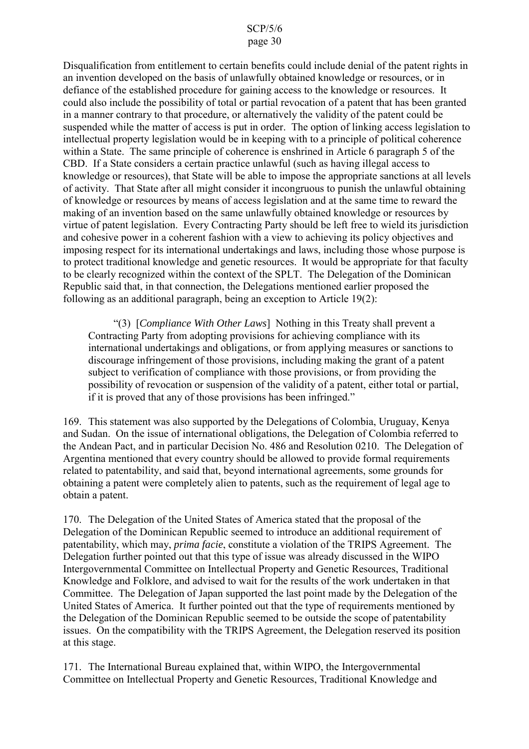Disqualification from entitlement to certain benefits could include denial of the patent rights in an invention developed on the basis of unlawfully obtained knowledge or resources, or in defiance of the established procedure for gaining access to the knowledge or resources. It could also include the possibility of total or partial revocation of a patent that has been granted in a manner contrary to that procedure, or alternatively the validity of the patent could be suspended while the matter of access is put in order. The option of linking access legislation to intellectual property legislation would be in keeping with to a principle of political coherence within a State. The same principle of coherence is enshrined in Article 6 paragraph 5 of the CBD. If a State considers a certain practice unlawful (such as having illegal access to knowledge or resources), that State will be able to impose the appropriate sanctions at all levels of activity. That State after all might consider it incongruous to punish the unlawful obtaining of knowledge or resources by means of access legislation and at the same time to reward the making of an invention based on the same unlawfully obtained knowledge or resources by virtue of patent legislation. Every Contracting Party should be left free to wield its jurisdiction and cohesive power in a coherent fashion with a view to achieving its policy objectives and imposing respect for its international undertakings and laws, including those whose purpose is to protect traditional knowledge and genetic resources. It would be appropriate for that faculty to be clearly recognized within the context of the SPLT. The Delegation of the Dominican Republic said that, in that connection, the Delegations mentioned earlier proposed the following as an additional paragraph, being an exception to Article 19(2):

"(3) [*Compliance With Other Laws*] Nothing in this Treaty shall prevent a Contracting Party from adopting provisions for achieving compliance with its international undertakings and obligations, or from applying measures or sanctions to discourage infringement of those provisions, including making the grant of a patent subject to verification of compliance with those provisions, or from providing the possibility of revocation or suspension of the validity of a patent, either total or partial, if it is proved that any of those provisions has been infringed."

169. This statement was also supported by the Delegations of Colombia, Uruguay, Kenya and Sudan. On the issue of international obligations, the Delegation of Colombia referred to the Andean Pact, and in particular Decision No. 486 and Resolution 0210. The Delegation of Argentina mentioned that every country should be allowed to provide formal requirements related to patentability, and said that, beyond international agreements, some grounds for obtaining a patent were completely alien to patents, such as the requirement of legal age to obtain a patent.

170. The Delegation of the United States of America stated that the proposal of the Delegation of the Dominican Republic seemed to introduce an additional requirement of patentability, which may, *prima facie*, constitute a violation of the TRIPS Agreement. The Delegation further pointed out that this type of issue was already discussed in the WIPO Intergovernmental Committee on Intellectual Property and Genetic Resources, Traditional Knowledge and Folklore, and advised to wait for the results of the work undertaken in that Committee. The Delegation of Japan supported the last point made by the Delegation of the United States of America. It further pointed out that the type of requirements mentioned by the Delegation of the Dominican Republic seemed to be outside the scope of patentability issues. On the compatibility with the TRIPS Agreement, the Delegation reserved its position at this stage.

171. The International Bureau explained that, within WIPO, the Intergovernmental Committee on Intellectual Property and Genetic Resources, Traditional Knowledge and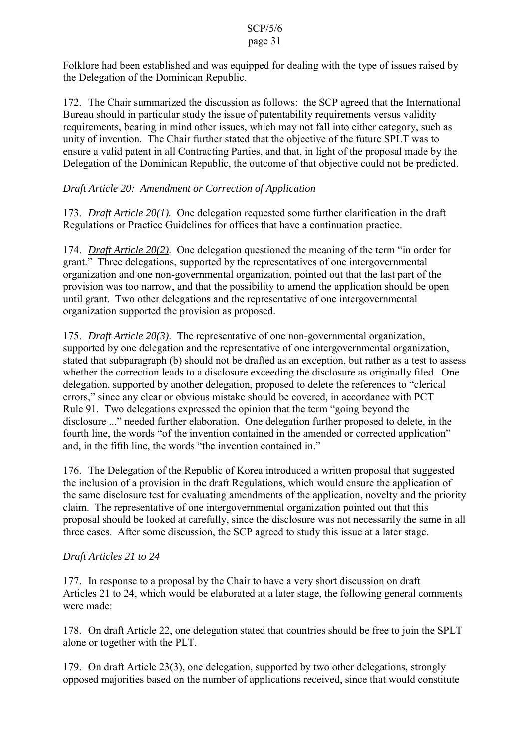Folklore had been established and was equipped for dealing with the type of issues raised by the Delegation of the Dominican Republic.

172. The Chair summarized the discussion as follows: the SCP agreed that the International Bureau should in particular study the issue of patentability requirements versus validity requirements, bearing in mind other issues, which may not fall into either category, such as unity of invention. The Chair further stated that the objective of the future SPLT was to ensure a valid patent in all Contracting Parties, and that, in light of the proposal made by the Delegation of the Dominican Republic, the outcome of that objective could not be predicted.

*Draft Article 20: Amendment or Correction of Application*

173. *Draft Article 20(1).* One delegation requested some further clarification in the draft Regulations or Practice Guidelines for offices that have a continuation practice.

174. *Draft Article 20(2)*. One delegation questioned the meaning of the term "in order for grant." Three delegations, supported by the representatives of one intergovernmental organization and one non-governmental organization, pointed out that the last part of the provision was too narrow, and that the possibility to amend the application should be open until grant. Two other delegations and the representative of one intergovernmental organization supported the provision as proposed.

175. *Draft Article 20(3)*. The representative of one non-governmental organization, supported by one delegation and the representative of one intergovernmental organization, stated that subparagraph (b) should not be drafted as an exception, but rather as a test to assess whether the correction leads to a disclosure exceeding the disclosure as originally filed. One delegation, supported by another delegation, proposed to delete the references to "clerical errors," since any clear or obvious mistake should be covered, in accordance with PCT Rule 91. Two delegations expressed the opinion that the term "going beyond the disclosure ..." needed further elaboration. One delegation further proposed to delete, in the fourth line, the words "of the invention contained in the amended or corrected application" and, in the fifth line, the words "the invention contained in."

176. The Delegation of the Republic of Korea introduced a written proposal that suggested the inclusion of a provision in the draft Regulations, which would ensure the application of the same disclosure test for evaluating amendments of the application, novelty and the priority claim. The representative of one intergovernmental organization pointed out that this proposal should be looked at carefully, since the disclosure was not necessarily the same in all three cases. After some discussion, the SCP agreed to study this issue at a later stage.

# *Draft Articles 21 to 24*

177. In response to a proposal by the Chair to have a very short discussion on draft Articles 21 to 24, which would be elaborated at a later stage, the following general comments were made:

178. On draft Article 22, one delegation stated that countries should be free to join the SPLT alone or together with the PLT.

179. On draft Article 23(3), one delegation, supported by two other delegations, strongly opposed majorities based on the number of applications received, since that would constitute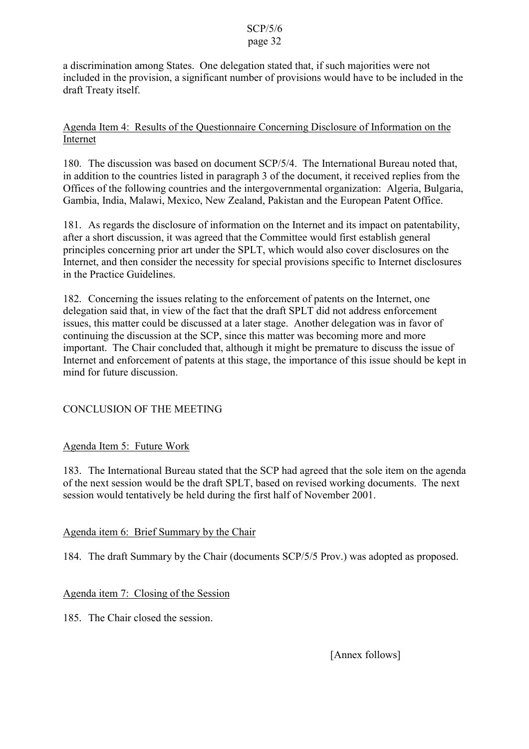a discrimination among States. One delegation stated that, if such majorities were not included in the provision, a significant number of provisions would have to be included in the draft Treaty itself.

# Agenda Item 4: Results of the Questionnaire Concerning Disclosure of Information on the Internet

180. The discussion was based on document SCP/5/4. The International Bureau noted that, in addition to the countries listed in paragraph 3 of the document, it received replies from the Offices of the following countries and the intergovernmental organization: Algeria, Bulgaria, Gambia, India, Malawi, Mexico, New Zealand, Pakistan and the European Patent Office.

181. As regards the disclosure of information on the Internet and its impact on patentability, after a short discussion, it was agreed that the Committee would first establish general principles concerning prior art under the SPLT, which would also cover disclosures on the Internet, and then consider the necessity for special provisions specific to Internet disclosures in the Practice Guidelines.

182. Concerning the issues relating to the enforcement of patents on the Internet, one delegation said that, in view of the fact that the draft SPLT did not address enforcement issues, this matter could be discussed at a later stage. Another delegation was in favor of continuing the discussion at the SCP, since this matter was becoming more and more important. The Chair concluded that, although it might be premature to discuss the issue of Internet and enforcement of patents at this stage, the importance of this issue should be kept in mind for future discussion.

# CONCLUSION OF THE MEETING

# Agenda Item 5: Future Work

183. The International Bureau stated that the SCP had agreed that the sole item on the agenda of the next session would be the draft SPLT, based on revised working documents. The next session would tentatively be held during the first half of November 2001.

# Agenda item 6: Brief Summary by the Chair

184. The draft Summary by the Chair (documents SCP/5/5 Prov.) was adopted as proposed.

# Agenda item 7: Closing of the Session

185. The Chair closed the session.

[Annex follows]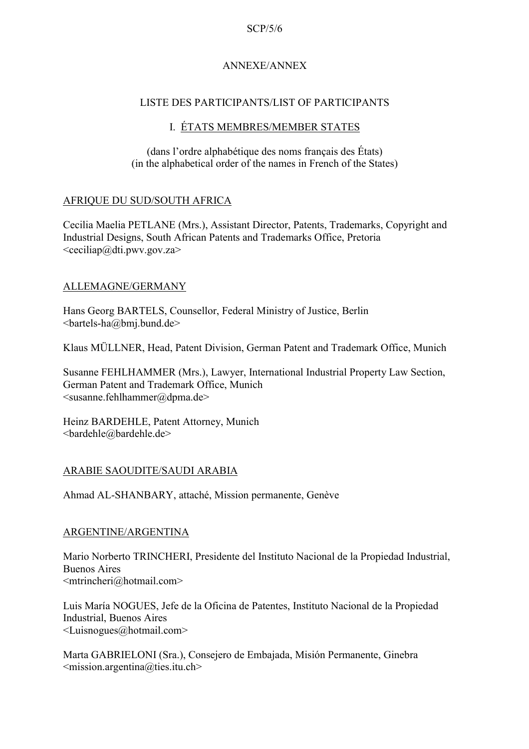### ANNEXE/ANNEX

### LISTE DES PARTICIPANTS/LIST OF PARTICIPANTS

### I. ÉTATS MEMBRES/MEMBER STATES

(dans l'ordre alphabétique des noms français des États) (in the alphabetical order of the names in French of the States)

### AFRIQUE DU SUD/SOUTH AFRICA

Cecilia Maelia PETLANE (Mrs.), Assistant Director, Patents, Trademarks, Copyright and Industrial Designs, South African Patents and Trademarks Office, Pretoria  $\leq$ ceciliap $@$ dti.pwv.gov.za>

### ALLEMAGNE/GERMANY

Hans Georg BARTELS, Counsellor, Federal Ministry of Justice, Berlin <bartels-ha@bmj.bund.de>

Klaus MÜLLNER, Head, Patent Division, German Patent and Trademark Office, Munich

Susanne FEHLHAMMER (Mrs.), Lawyer, International Industrial Property Law Section, German Patent and Trademark Office, Munich <susanne.fehlhammer@dpma.de>

Heinz BARDEHLE, Patent Attorney, Munich <bardehle@bardehle.de>

### ARABIE SAOUDITE/SAUDI ARABIA

Ahmad AL-SHANBARY, attaché, Mission permanente, Genève

### ARGENTINE/ARGENTINA

Mario Norberto TRINCHERI, Presidente del Instituto Nacional de la Propiedad Industrial, Buenos Aires <mtrincheri@hotmail.com>

Luis María NOGUES, Jefe de la Oficina de Patentes, Instituto Nacional de la Propiedad Industrial, Buenos Aires <Luisnogues@hotmail.com>

Marta GABRIELONI (Sra.), Consejero de Embajada, Misión Permanente, Ginebra  $\leq$ mission.argentina@ties.itu.ch>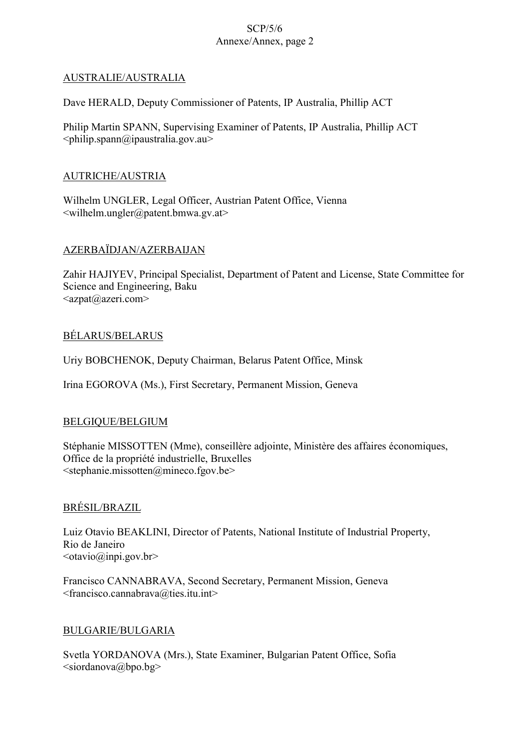### AUSTRALIE/AUSTRALIA

Dave HERALD, Deputy Commissioner of Patents, IP Australia, Phillip ACT

Philip Martin SPANN, Supervising Examiner of Patents, IP Australia, Phillip ACT  $\phi$ spann $\omega$ ipaustralia.gov.au>

### AUTRICHE/AUSTRIA

Wilhelm UNGLER, Legal Officer, Austrian Patent Office, Vienna  $\leq$ wilhelm.ungler@patent.bmwa.gv.at $>$ 

### AZERBAÏDJAN/AZERBAIJAN

Zahir HAJIYEV, Principal Specialist, Department of Patent and License, State Committee for Science and Engineering, Baku <azpat@azeri.com>

# BÉLARUS/BELARUS

Uriy BOBCHENOK, Deputy Chairman, Belarus Patent Office, Minsk

Irina EGOROVA (Ms.), First Secretary, Permanent Mission, Geneva

# BELGIQUE/BELGIUM

Stéphanie MISSOTTEN (Mme), conseillère adjointe, Ministère des affaires économiques, Office de la propriété industrielle, Bruxelles <stephanie.missotten@mineco.fgov.be>

# BRÉSIL/BRAZIL

Luiz Otavio BEAKLINI, Director of Patents, National Institute of Industrial Property, Rio de Janeiro  $<$ otavio $@$ inpi.gov.br>

Francisco CANNABRAVA, Second Secretary, Permanent Mission, Geneva <francisco.cannabrava@ties.itu.int>

# BULGARIE/BULGARIA

Svetla YORDANOVA (Mrs.), State Examiner, Bulgarian Patent Office, Sofia  $\leq$ siordanova@bpo.bg>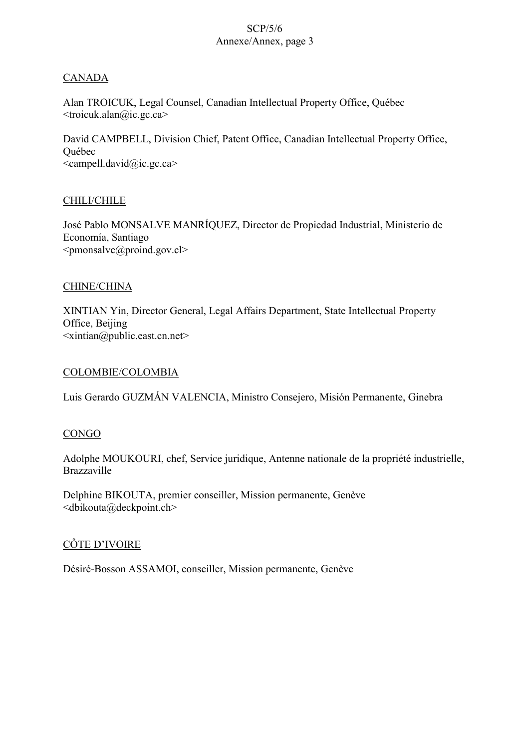### **CANADA**

Alan TROICUK, Legal Counsel, Canadian Intellectual Property Office, Québec  $\langle$ troicuk.alan $\langle \hat{\omega} \rangle$ ic.gc.ca>

David CAMPBELL, Division Chief, Patent Office, Canadian Intellectual Property Office, Québec  $\leq$ campell.david $\omega$ ic.gc.ca>

### CHILI/CHILE

José Pablo MONSALVE MANRÍQUEZ, Director de Propiedad Industrial, Ministerio de Economía, Santiago  $\leq$ pmonsalve $\omega$ proind.gov.cl>

### CHINE/CHINA

XINTIAN Yin, Director General, Legal Affairs Department, State Intellectual Property Office, Beijing  $\leq$ xintian@public.east.cn.net>

### COLOMBIE/COLOMBIA

Luis Gerardo GUZMÁN VALENCIA, Ministro Consejero, Misión Permanente, Ginebra

### **CONGO**

Adolphe MOUKOURI, chef, Service juridique, Antenne nationale de la propriété industrielle, Brazzaville

Delphine BIKOUTA, premier conseiller, Mission permanente, Genève <dbikouta@deckpoint.ch>

# CÔTE D'IVOIRE

Désiré-Bosson ASSAMOI, conseiller, Mission permanente, Genève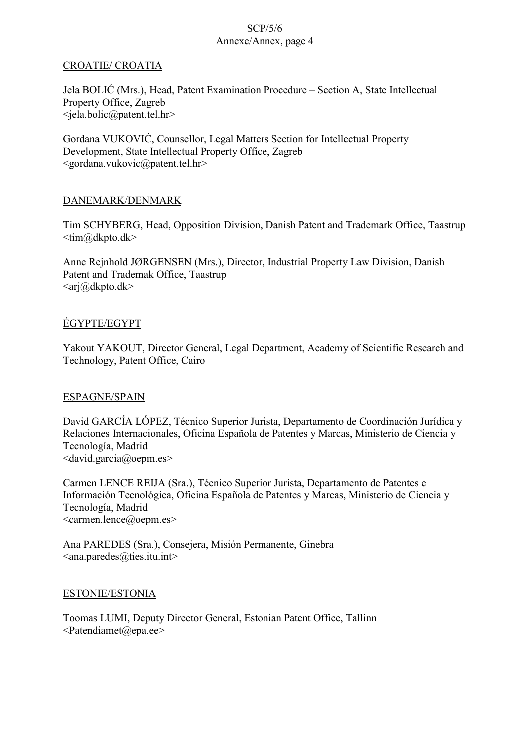# CROATIE/ CROATIA

Jela BOLIĆ (Mrs.), Head, Patent Examination Procedure – Section A, State Intellectual Property Office, Zagreb <jela.bolic@patent.tel.hr>

Gordana VUKOVIĆ, Counsellor, Legal Matters Section for Intellectual Property Development, State Intellectual Property Office, Zagreb <gordana.vukovic@patent.tel.hr>

# DANEMARK/DENMARK

Tim SCHYBERG, Head, Opposition Division, Danish Patent and Trademark Office, Taastrup <tim@dkpto.dk>

Anne Rejnhold JØRGENSEN (Mrs.), Director, Industrial Property Law Division, Danish Patent and Trademak Office, Taastrup  $\langle a\right|a\rangle$ dkpto.dk $\langle$ 

# ÉGYPTE/EGYPT

Yakout YAKOUT, Director General, Legal Department, Academy of Scientific Research and Technology, Patent Office, Cairo

# ESPAGNE/SPAIN

David GARCÍA LÓPEZ, Técnico Superior Jurista, Departamento de Coordinación Jurídica y Relaciones Internacionales, Oficina Española de Patentes y Marcas, Ministerio de Ciencia y Tecnología, Madrid <david.garcia@oepm.es>

Carmen LENCE REIJA (Sra.), Técnico Superior Jurista, Departamento de Patentes e Información Tecnológica, Oficina Española de Patentes y Marcas, Ministerio de Ciencia y Tecnología, Madrid <carmen.lence@oepm.es>

Ana PAREDES (Sra.), Consejera, Misión Permanente, Ginebra  $\langle$ ana.paredes@ties.itu.int>

# ESTONIE/ESTONIA

Toomas LUMI, Deputy Director General, Estonian Patent Office, Tallinn  $\leq$ Patendiamet $\textcircled{a}$ epa.ee $>$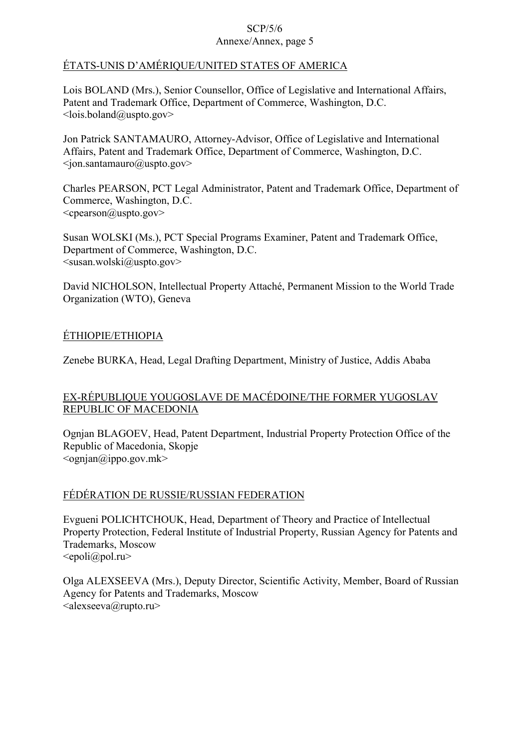# ÉTATS-UNIS D'AMÉRIQUE/UNITED STATES OF AMERICA

Lois BOLAND (Mrs.), Senior Counsellor, Office of Legislative and International Affairs, Patent and Trademark Office, Department of Commerce, Washington, D.C.  $\langle$ lois.boland@uspto.gov>

Jon Patrick SANTAMAURO, Attorney-Advisor, Office of Legislative and International Affairs, Patent and Trademark Office, Department of Commerce, Washington, D.C.  $\langle \text{ion}$ .santamauro@uspto.gov>

Charles PEARSON, PCT Legal Administrator, Patent and Trademark Office, Department of Commerce, Washington, D.C. <cpearson@uspto.gov>

Susan WOLSKI (Ms.), PCT Special Programs Examiner, Patent and Trademark Office, Department of Commerce, Washington, D.C. <susan.wolski@uspto.gov>

David NICHOLSON, Intellectual Property Attaché, Permanent Mission to the World Trade Organization (WTO), Geneva

# ÉTHIOPIE/ETHIOPIA

Zenebe BURKA, Head, Legal Drafting Department, Ministry of Justice, Addis Ababa

# EX-RÉPUBLIQUE YOUGOSLAVE DE MACÉDOINE/THE FORMER YUGOSLAV REPUBLIC OF MACEDONIA

Ognjan BLAGOEV, Head, Patent Department, Industrial Property Protection Office of the Republic of Macedonia, Skopje  $\langle$ ognjan $\langle \hat{\omega} \rangle$ ippo.gov.mk $>$ 

# FÉDÉRATION DE RUSSIE/RUSSIAN FEDERATION

Evgueni POLICHTCHOUK, Head, Department of Theory and Practice of Intellectual Property Protection, Federal Institute of Industrial Property, Russian Agency for Patents and Trademarks, Moscow  $\leq$ epoli $\omega$ pol.ru $>$ 

Olga ALEXSEEVA (Mrs.), Deputy Director, Scientific Activity, Member, Board of Russian Agency for Patents and Trademarks, Moscow  $\langle \text{alex} \text{seeva}(\hat{\mathbf{\omega}})$ rupto.ru $\rangle$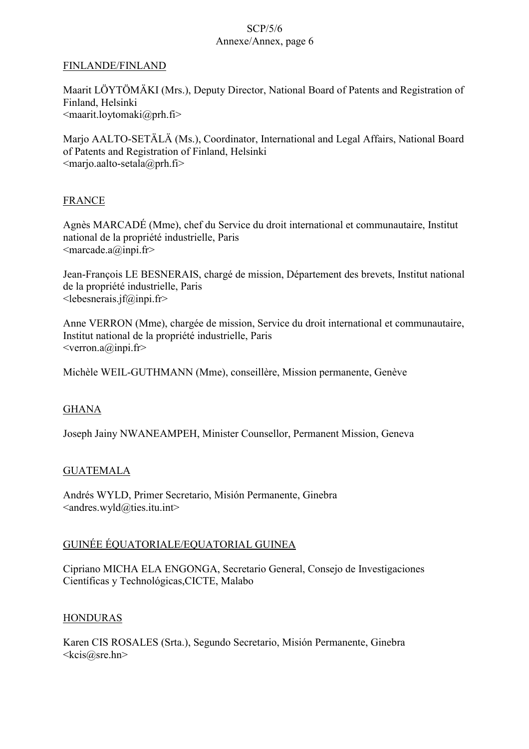### FINLANDE/FINLAND

Maarit LÖYTÖMÄKI (Mrs.), Deputy Director, National Board of Patents and Registration of Finland, Helsinki  $\leq$ maarit.loytomaki $\omega$ prh.fi>

Marjo AALTO-SETÄLÄ (Ms.), Coordinator, International and Legal Affairs, National Board of Patents and Registration of Finland, Helsinki  $\leq$ marjo.aalto-setala $\omega$ prh.fi>

### FRANCE

Agnès MARCADÉ (Mme), chef du Service du droit international et communautaire, Institut national de la propriété industrielle, Paris  $\leq$ marcade.a@inpi.fr>

Jean-François LE BESNERAIS, chargé de mission, Département des brevets, Institut national de la propriété industrielle, Paris  $\leq$ lebesnerais.jf@inpi.fr>

Anne VERRON (Mme), chargée de mission, Service du droit international et communautaire, Institut national de la propriété industrielle, Paris  $\leq$ verron.a@inpi.fr>

Michèle WEIL-GUTHMANN (Mme), conseillère, Mission permanente, Genève

# GHANA

Joseph Jainy NWANEAMPEH, Minister Counsellor, Permanent Mission, Geneva

### **GUATEMALA**

Andrés WYLD, Primer Secretario, Misión Permanente, Ginebra  $\leq$ andres.wyld@ties.itu.int>

# GUINÉE ÉQUATORIALE/EQUATORIAL GUINEA

Cipriano MICHA ELA ENGONGA, Secretario General, Consejo de Investigaciones Científicas y Technológicas,CICTE, Malabo

### **HONDURAS**

Karen CIS ROSALES (Srta.), Segundo Secretario, Misión Permanente, Ginebra <kcis@sre.hn>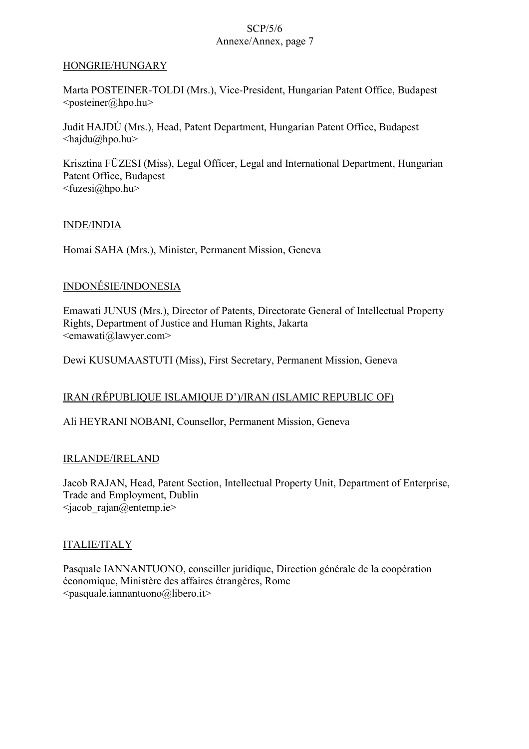### HONGRIE/HUNGARY

Marta POSTEINER-TOLDI (Mrs.), Vice-President, Hungarian Patent Office, Budapest  $<$ posteiner@hpo.hu>

Judit HAJDÚ (Mrs.), Head, Patent Department, Hungarian Patent Office, Budapest <hajdu@hpo.hu>

Krisztina FÜZESI (Miss), Legal Officer, Legal and International Department, Hungarian Patent Office, Budapest <fuzesi@hpo.hu>

### INDE/INDIA

Homai SAHA (Mrs.), Minister, Permanent Mission, Geneva

# INDONÉSIE/INDONESIA

Emawati JUNUS (Mrs.), Director of Patents, Directorate General of Intellectual Property Rights, Department of Justice and Human Rights, Jakarta  $\leq$ emawati $\omega$ lawyer.com>

Dewi KUSUMAASTUTI (Miss), First Secretary, Permanent Mission, Geneva

# IRAN (RÉPUBLIQUE ISLAMIQUE D')/IRAN (ISLAMIC REPUBLIC OF)

Ali HEYRANI NOBANI, Counsellor, Permanent Mission, Geneva

### IRLANDE/IRELAND

Jacob RAJAN, Head, Patent Section, Intellectual Property Unit, Department of Enterprise, Trade and Employment, Dublin  $\langle$ iacob rajan@entemp.ie>

# ITALIE/ITALY

Pasquale IANNANTUONO, conseiller juridique, Direction générale de la coopération économique, Ministère des affaires étrangères, Rome  $<$ pasquale.iannantuono@libero.it>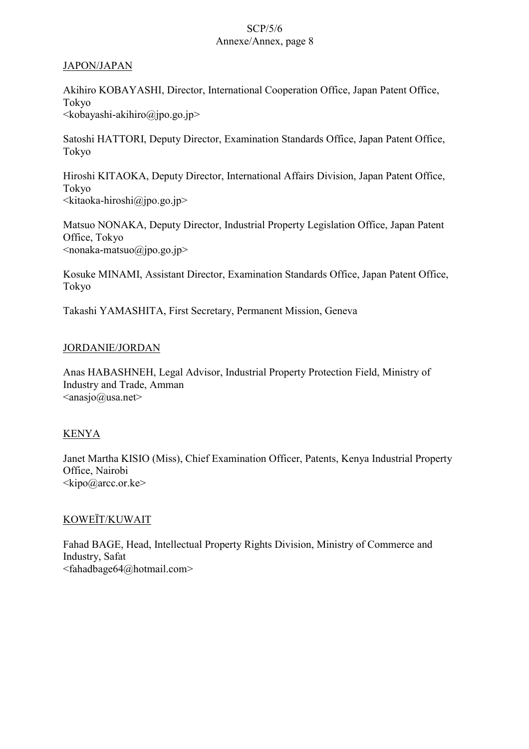### JAPON/JAPAN

Akihiro KOBAYASHI, Director, International Cooperation Office, Japan Patent Office, Tokyo  $\leq k$ obayashi-akihiro@jpo.go.jp>

Satoshi HATTORI, Deputy Director, Examination Standards Office, Japan Patent Office, Tokyo

Hiroshi KITAOKA, Deputy Director, International Affairs Division, Japan Patent Office, Tokyo  $\leq$ kitaoka-hiroshi $\omega$ jpo.go.jp>

Matsuo NONAKA, Deputy Director, Industrial Property Legislation Office, Japan Patent Office, Tokyo  $\leq$ nonaka-matsuo $\omega$ jpo.go.jp>

Kosuke MINAMI, Assistant Director, Examination Standards Office, Japan Patent Office, Tokyo

Takashi YAMASHITA, First Secretary, Permanent Mission, Geneva

# JORDANIE/JORDAN

Anas HABASHNEH, Legal Advisor, Industrial Property Protection Field, Ministry of Industry and Trade, Amman  $\langle \text{anasjo}(a)$ usa.net $\rangle$ 

# KENYA

Janet Martha KISIO (Miss), Chief Examination Officer, Patents, Kenya Industrial Property Office, Nairobi  $\langle kipo@arcc.$ or.ke>

# KOWEÏT/KUWAIT

Fahad BAGE, Head, Intellectual Property Rights Division, Ministry of Commerce and Industry, Safat <fahadbage64@hotmail.com>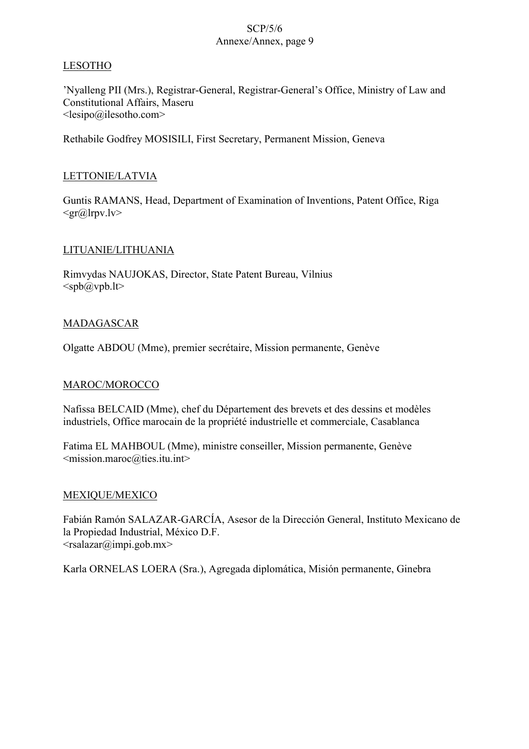### LESOTHO

'Nyalleng PII (Mrs.), Registrar-General, Registrar-General's Office, Ministry of Law and Constitutional Affairs, Maseru  $\leq$ lesipo@ilesotho.com $>$ 

Rethabile Godfrey MOSISILI, First Secretary, Permanent Mission, Geneva

### LETTONIE/LATVIA

Guntis RAMANS, Head, Department of Examination of Inventions, Patent Office, Riga  $\langle \text{gr}\text{@lrpv}.\text{lv}\rangle$ 

### LITUANIE/LITHUANIA

Rimvydas NAUJOKAS, Director, State Patent Bureau, Vilnius  $<$ spb $@$ vpb.lt $>$ 

### MADAGASCAR

Olgatte ABDOU (Mme), premier secrétaire, Mission permanente, Genève

# MAROC/MOROCCO

Nafissa BELCAID (Mme), chef du Département des brevets et des dessins et modèles industriels, Office marocain de la propriété industrielle et commerciale, Casablanca

Fatima EL MAHBOUL (Mme), ministre conseiller, Mission permanente, Genève <mission.maroc@ties.itu.int>

### MEXIQUE/MEXICO

Fabián Ramón SALAZAR-GARCÍA, Asesor de la Dirección General, Instituto Mexicano de la Propiedad Industrial, México D.F.  $\langle$ rsalazar@impi.gob.mx>

Karla ORNELAS LOERA (Sra.), Agregada diplomática, Misión permanente, Ginebra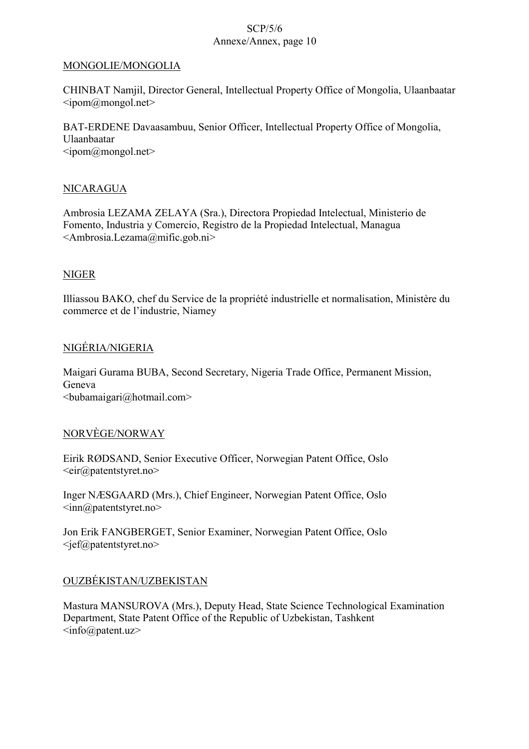### MONGOLIE/MONGOLIA

CHINBAT Namjil, Director General, Intellectual Property Office of Mongolia, Ulaanbaatar  $\langle \text{ipom}(\hat{a})$ mongol.net $\rangle$ 

BAT-ERDENE Davaasambuu, Senior Officer, Intellectual Property Office of Mongolia, Ulaanbaatar  $\leq$ ipom $@$ mongol.net $>$ 

# NICARAGUA

Ambrosia LEZAMA ZELAYA (Sra.), Directora Propiedad Intelectual, Ministerio de Fomento, Industria y Comercio, Registro de la Propiedad Intelectual, Managua <Ambrosia.Lezama@mific.gob.ni>

### NIGER

Illiassou BAKO, chef du Service de la propriété industrielle et normalisation, Ministère du commerce et de l'industrie, Niamey

### NIGÉRIA/NIGERIA

Maigari Gurama BUBA, Second Secretary, Nigeria Trade Office, Permanent Mission, Geneva  $\le$ bubamaigari@hotmail.com>

### NORVÈGE/NORWAY

Eirik RØDSAND, Senior Executive Officer, Norwegian Patent Office, Oslo <eir@patentstyret.no>

Inger NÆSGAARD (Mrs.), Chief Engineer, Norwegian Patent Office, Oslo <inn@patentstyret.no>

Jon Erik FANGBERGET, Senior Examiner, Norwegian Patent Office, Oslo  $\leq$ jef@patentstyret.no>

# OUZBÉKISTAN/UZBEKISTAN

Mastura MANSUROVA (Mrs.), Deputy Head, State Science Technological Examination Department, State Patent Office of the Republic of Uzbekistan, Tashkent  $\langle \text{info}(\widehat{a}) \text{pattern.}$ uz $\langle \rangle$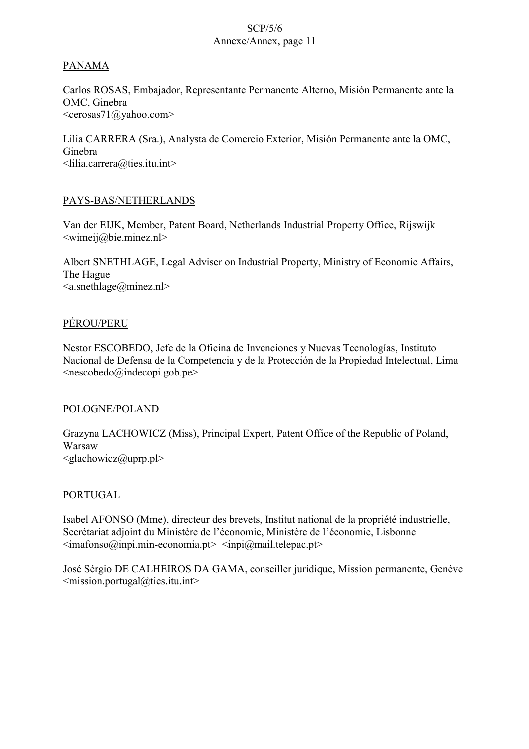# PANAMA

Carlos ROSAS, Embajador, Representante Permanente Alterno, Misión Permanente ante la OMC, Ginebra <cerosas71@yahoo.com>

Lilia CARRERA (Sra.), Analysta de Comercio Exterior, Misión Permanente ante la OMC, Ginebra <lilia.carrera@ties.itu.int>

# PAYS-BAS/NETHERLANDS

Van der EIJK, Member, Patent Board, Netherlands Industrial Property Office, Rijswijk  $\le$ wimeij@bie.minez.nl>

Albert SNETHLAGE, Legal Adviser on Industrial Property, Ministry of Economic Affairs, The Hague <a.snethlage@minez.nl>

# PÉROU/PERU

Nestor ESCOBEDO, Jefe de la Oficina de Invenciones y Nuevas Tecnologías, Instituto Nacional de Defensa de la Competencia y de la Protección de la Propiedad Intelectual, Lima  $\leq$ nescobedo $\omega$ indecopi.gob.pe $>$ 

# POLOGNE/POLAND

Grazyna LACHOWICZ (Miss), Principal Expert, Patent Office of the Republic of Poland, Warsaw  $\leq$ glachowicz $\omega$ uprp.pl>

### PORTUGAL

Isabel AFONSO (Mme), directeur des brevets, Institut national de la propriété industrielle, Secrétariat adjoint du Ministère de l'économie, Ministère de l'économie, Lisbonne  $\leq$ imafonso $\omega$ inpi.min-economia.pt $\geq$   $\leq$ inpi $\omega$ mail.telepac.pt $\geq$ 

José Sérgio DE CALHEIROS DA GAMA, conseiller juridique, Mission permanente, Genève  $\leq$ mission.portugal@ties.itu.int>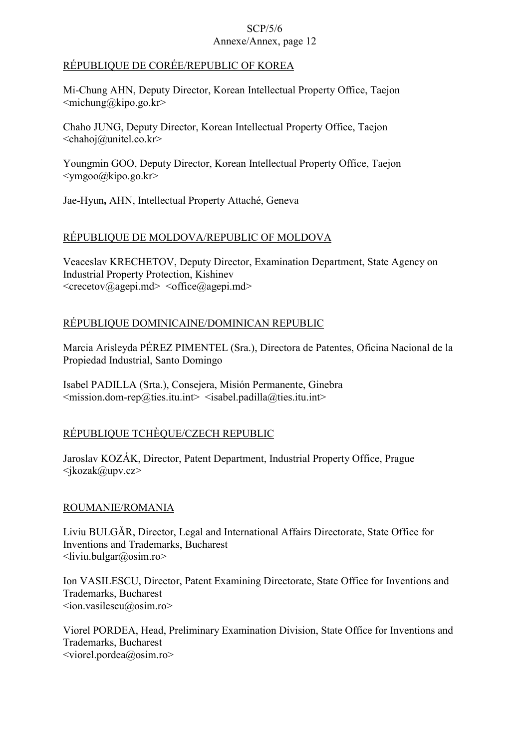# RÉPUBLIQUE DE CORÉE/REPUBLIC OF KOREA

Mi-Chung AHN, Deputy Director, Korean Intellectual Property Office, Taejon  $\leq$ michung@kipo.go.kr>

Chaho JUNG, Deputy Director, Korean Intellectual Property Office, Taejon  $\le$ chahoj@unitel.co.kr>

Youngmin GOO, Deputy Director, Korean Intellectual Property Office, Taejon  $\langle \text{ymgoo}\rangle$ @kipo.go.kr>

Jae-Hyun**,** AHN, Intellectual Property Attaché, Geneva

# RÉPUBLIQUE DE MOLDOVA/REPUBLIC OF MOLDOVA

Veaceslav KRECHETOV, Deputy Director, Examination Department, State Agency on Industrial Property Protection, Kishinev  $\langle$ crecetov@agepi.md $\rangle$   $\langle$ office@agepi.md $\rangle$ 

# RÉPUBLIQUE DOMINICAINE/DOMINICAN REPUBLIC

Marcia Arisleyda PÉREZ PIMENTEL (Sra.), Directora de Patentes, Oficina Nacional de la Propiedad Industrial, Santo Domingo

Isabel PADILLA (Srta.), Consejera, Misión Permanente, Ginebra  $\leq$ mission.dom-rep@ties.itu.int>  $\leq$ isabel.padilla@ties.itu.int>

# RÉPUBLIQUE TCHÈQUE/CZECH REPUBLIC

Jaroslav KOZÁK, Director, Patent Department, Industrial Property Office, Prague <jkozak@upv.cz>

# ROUMANIE/ROMANIA

Liviu BULGĂR, Director, Legal and International Affairs Directorate, State Office for Inventions and Trademarks, Bucharest  $\langle$ liviu.bulgar@osim.ro>

Ion VASILESCU, Director, Patent Examining Directorate, State Office for Inventions and Trademarks, Bucharest  $\langle \text{ion}\rangle$ vasilescu $\langle \text{cosim}\rangle$ .ro

Viorel PORDEA, Head, Preliminary Examination Division, State Office for Inventions and Trademarks, Bucharest  $\le$ viorel.pordea $\omega$ osim.ro>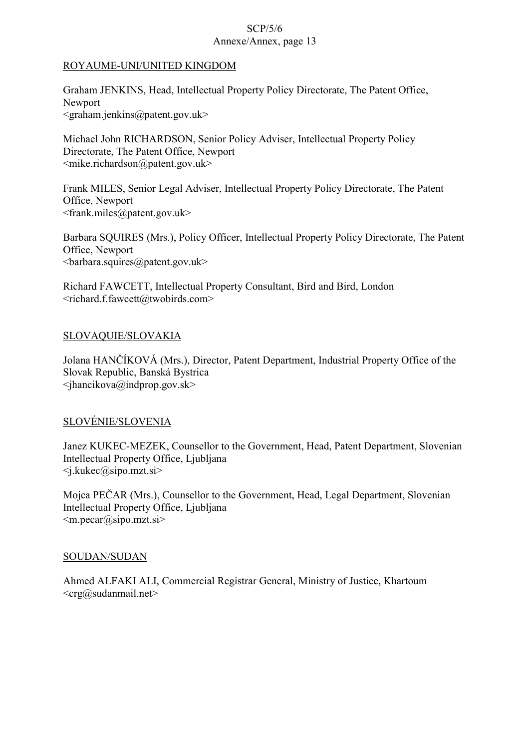### ROYAUME-UNI/UNITED KINGDOM

Graham JENKINS, Head, Intellectual Property Policy Directorate, The Patent Office, Newport  $\leq$ graham.jenkins@patent.gov.uk>

Michael John RICHARDSON, Senior Policy Adviser, Intellectual Property Policy Directorate, The Patent Office, Newport  $\leq$ mike.richardson@patent.gov.uk>

Frank MILES, Senior Legal Adviser, Intellectual Property Policy Directorate, The Patent Office, Newport <frank.miles@patent.gov.uk>

Barbara SQUIRES (Mrs.), Policy Officer, Intellectual Property Policy Directorate, The Patent Office, Newport  $\langle$ barbara.squires@patent.gov.uk>

Richard FAWCETT, Intellectual Property Consultant, Bird and Bird, London <richard.f.fawcett@twobirds.com>

# SLOVAQUIE/SLOVAKIA

Jolana HANČÍKOVÁ (Mrs.), Director, Patent Department, Industrial Property Office of the Slovak Republic, Banská Bystrica  $\langle$ ihancikova@indprop.gov.sk>

# SLOVÉNIE/SLOVENIA

Janez KUKEC-MEZEK, Counsellor to the Government, Head, Patent Department, Slovenian Intellectual Property Office, Ljubljana  $\langle$ j.kukec@sipo.mzt.si $>$ 

Mojca PEČAR (Mrs.), Counsellor to the Government, Head, Legal Department, Slovenian Intellectual Property Office, Ljubljana  $\leq m$ .pecar $(a)$ sipo.mzt.si $>$ 

### SOUDAN/SUDAN

Ahmed ALFAKI ALI, Commercial Registrar General, Ministry of Justice, Khartoum  $\langle \text{crg}(\hat{\omega})$ sudanmail.net $\rangle$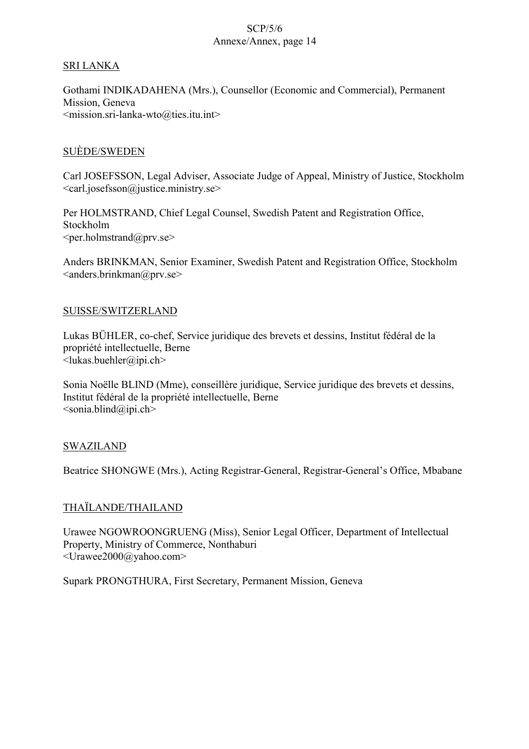### SRI LANKA

Gothami INDIKADAHENA (Mrs.), Counsellor (Economic and Commercial), Permanent Mission, Geneva <mission.sri-lanka-wto@ties.itu.int>

### SUÈDE/SWEDEN

Carl JOSEFSSON, Legal Adviser, Associate Judge of Appeal, Ministry of Justice, Stockholm <carl.josefsson@justice.ministry.se>

Per HOLMSTRAND, Chief Legal Counsel, Swedish Patent and Registration Office, Stockholm  $\leq$ per.holmstrand@prv.se $>$ 

Anders BRINKMAN, Senior Examiner, Swedish Patent and Registration Office, Stockholm  $\langle$ anders.brinkman@prv.se $>$ 

### SUISSE/SWITZERLAND

Lukas BÜHLER, co-chef, Service juridique des brevets et dessins, Institut fédéral de la propriété intellectuelle, Berne  $\leq$ lukas.buehler@ipi.ch>

Sonia Noëlle BLIND (Mme), conseillère juridique, Service juridique des brevets et dessins, Institut fédéral de la propriété intellectuelle, Berne  $\le$ sonia.blind@ipi.ch>

# SWAZILAND

Beatrice SHONGWE (Mrs.), Acting Registrar-General, Registrar-General's Office, Mbabane

# THAÏLANDE/THAILAND

Urawee NGOWROONGRUENG (Miss), Senior Legal Officer, Department of Intellectual Property, Ministry of Commerce, Nonthaburi <Urawee2000@yahoo.com>

Supark PRONGTHURA, First Secretary, Permanent Mission, Geneva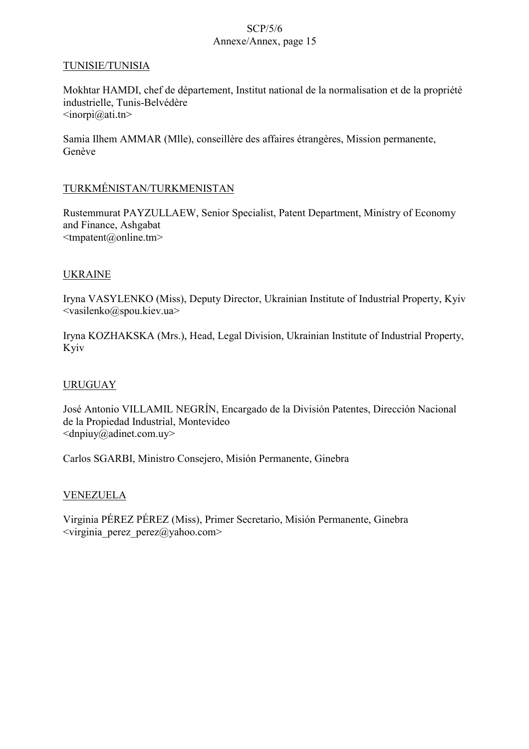### TUNISIE/TUNISIA

Mokhtar HAMDI, chef de département, Institut national de la normalisation et de la propriété industrielle, Tunis-Belvédère  $\langle \text{inorpi}(\hat{\omega} \text{ati}.\text{tn}\rangle)$ 

Samia Ilhem AMMAR (Mlle), conseillère des affaires étrangères, Mission permanente, Genève

### TURKMÉNISTAN/TURKMENISTAN

Rustemmurat PAYZULLAEW, Senior Specialist, Patent Department, Ministry of Economy and Finance, Ashgabat  $\leq$ tmpatent@online.tm>

### UKRAINE

Iryna VASYLENKO (Miss), Deputy Director, Ukrainian Institute of Industrial Property, Kyiv <vasilenko@spou.kiev.ua>

Iryna KOZHAKSKA (Mrs.), Head, Legal Division, Ukrainian Institute of Industrial Property, Kyiv

# URUGUAY

José Antonio VILLAMIL NEGRÍN, Encargado de la División Patentes, Dirección Nacional de la Propiedad Industrial, Montevideo  $\langle \text{dnpiuy}\rangle$ @adinet.com.uy>

Carlos SGARBI, Ministro Consejero, Misión Permanente, Ginebra

### VENEZUELA

Virginia PÉREZ PÉREZ (Miss), Primer Secretario, Misión Permanente, Ginebra  $\langle \text{virginia } \text{perez } \text{perez}/\text{Qyahoo.com} \rangle$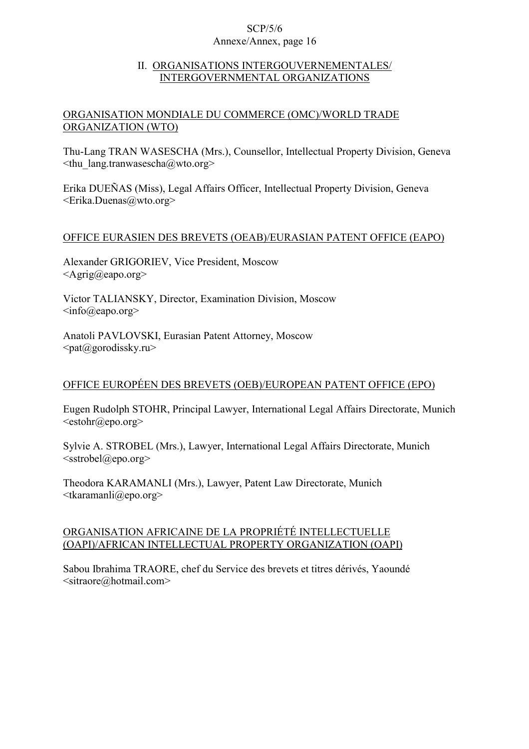### II. ORGANISATIONS INTERGOUVERNEMENTALES/ INTERGOVERNMENTAL ORGANIZATIONS

# ORGANISATION MONDIALE DU COMMERCE (OMC)/WORLD TRADE ORGANIZATION (WTO)

Thu-Lang TRAN WASESCHA (Mrs.), Counsellor, Intellectual Property Division, Geneva  $\leq$ thu lang.tranwasescha@wto.org>

Erika DUEÑAS (Miss), Legal Affairs Officer, Intellectual Property Division, Geneva <Erika.Duenas@wto.org>

# OFFICE EURASIEN DES BREVETS (OEAB)/EURASIAN PATENT OFFICE (EAPO)

Alexander GRIGORIEV, Vice President, Moscow  $\langle$ Agrig@eapo.org $>$ 

Victor TALIANSKY, Director, Examination Division, Moscow  $\langle \text{info}(\hat{\alpha})$ eapo.org $\rangle$ 

Anatoli PAVLOVSKI, Eurasian Patent Attorney, Moscow  $\langle \text{pat}\langle \partial \rangle$ gorodissky.ru $>$ 

# OFFICE EUROPÉEN DES BREVETS (OEB)/EUROPEAN PATENT OFFICE (EPO)

Eugen Rudolph STOHR, Principal Lawyer, International Legal Affairs Directorate, Munich  $\leq$ estohr@epo.org $>$ 

Sylvie A. STROBEL (Mrs.), Lawyer, International Legal Affairs Directorate, Munich  $\leq$ sstrobel@epo.org>

Theodora KARAMANLI (Mrs.), Lawyer, Patent Law Directorate, Munich  $\leq$ tkaramanli $@$ epo.org>

# ORGANISATION AFRICAINE DE LA PROPRIÉTÉ INTELLECTUELLE (OAPI)/AFRICAN INTELLECTUAL PROPERTY ORGANIZATION (OAPI)

Sabou Ibrahima TRAORE, chef du Service des brevets et titres dérivés, Yaoundé  $\leq$ sitraore $\omega$ hotmail.com>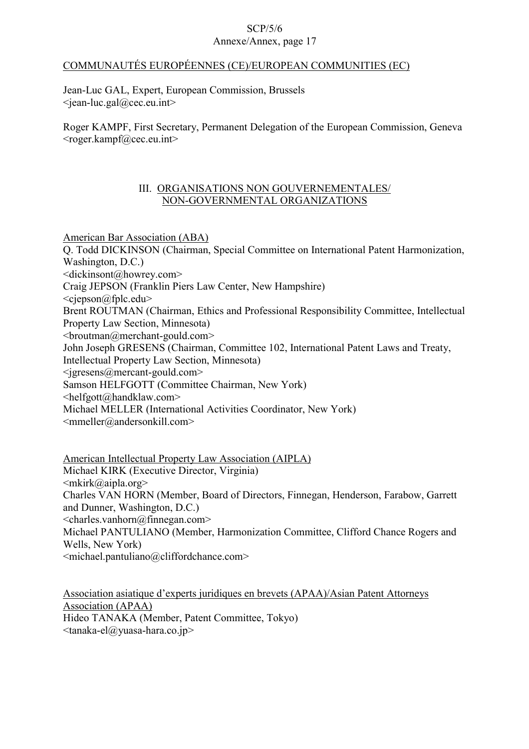### COMMUNAUTÉS EUROPÉENNES (CE)/EUROPEAN COMMUNITIES (EC)

Jean-Luc GAL, Expert, European Commission, Brussels  $\le$ iean-luc.gal $@$ cec.eu.int $>$ 

Roger KAMPF, First Secretary, Permanent Delegation of the European Commission, Geneva  $<$ roger.kampf@cec.eu.int $>$ 

### III. ORGANISATIONS NON GOUVERNEMENTALES/ NON-GOVERNMENTAL ORGANIZATIONS

American Bar Association (ABA) Q. Todd DICKINSON (Chairman, Special Committee on International Patent Harmonization, Washington, D.C.) <dickinsont@howrey.com> Craig JEPSON (Franklin Piers Law Center, New Hampshire) <cjepson@fplc.edu> Brent ROUTMAN (Chairman, Ethics and Professional Responsibility Committee, Intellectual Property Law Section, Minnesota)  $\leq$ broutman@merchant-gould.com $>$ John Joseph GRESENS (Chairman, Committee 102, International Patent Laws and Treaty, Intellectual Property Law Section, Minnesota)  $\leq$ igresens@mercant-gould.com> Samson HELFGOTT (Committee Chairman, New York) <helfgott@handklaw.com> Michael MELLER (International Activities Coordinator, New York)  $\leq$ mmeller@andersonkill.com>

American Intellectual Property Law Association (AIPLA) Michael KIRK (Executive Director, Virginia)  $\langle$ mkirk@aipla.org> Charles VAN HORN (Member, Board of Directors, Finnegan, Henderson, Farabow, Garrett and Dunner, Washington, D.C.)  $\le$ charles.vanhorn@finnegan.com> Michael PANTULIANO (Member, Harmonization Committee, Clifford Chance Rogers and Wells, New York) <michael.pantuliano@cliffordchance.com>

Association asiatique d'experts juridiques en brevets (APAA)/Asian Patent Attorneys Association (APAA) Hideo TANAKA (Member, Patent Committee, Tokyo)  $\langle \text{tanaka-el}\right| \geq \text{maxa-hara.co.jp}$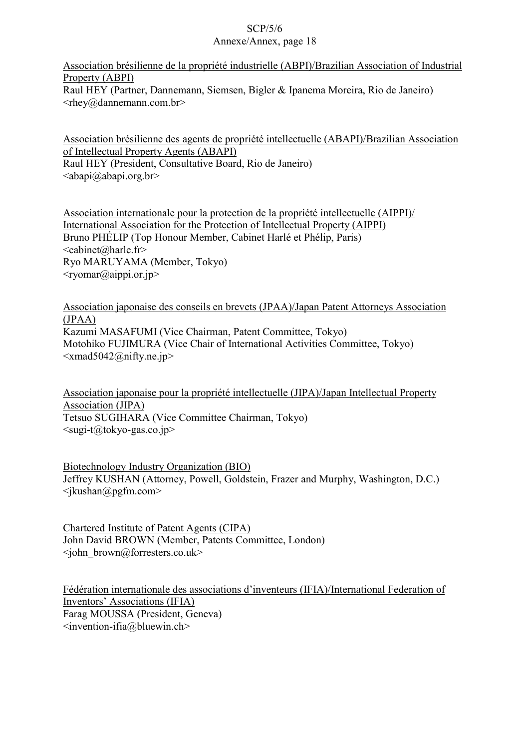Association brésilienne de la propriété industrielle (ABPI)/Brazilian Association of Industrial Property (ABPI) Raul HEY (Partner, Dannemann, Siemsen, Bigler & Ipanema Moreira, Rio de Janeiro)  $\langle$ rhey@dannemann.com.br>

Association brésilienne des agents de propriété intellectuelle (ABAPI)/Brazilian Association of Intellectual Property Agents (ABAPI) Raul HEY (President, Consultative Board, Rio de Janeiro)  $\langle \text{abapi}\langle \omega \rangle$ abapi.org.br>

Association internationale pour la protection de la propriété intellectuelle (AIPPI)/ International Association for the Protection of Intellectual Property (AIPPI) Bruno PHÉLIP (Top Honour Member, Cabinet Harlé et Phélip, Paris) <cabinet@harle.fr> Ryo MARUYAMA (Member, Tokyo)  $\langle$ ryomar@aippi.or.jp>

Association japonaise des conseils en brevets (JPAA)/Japan Patent Attorneys Association  $(JPAA)$ Kazumi MASAFUMI (Vice Chairman, Patent Committee, Tokyo) Motohiko FUJIMURA (Vice Chair of International Activities Committee, Tokyo)  $\langle x \rangle$  and  $5042$  (*a*) nifty.ne.jp

Association japonaise pour la propriété intellectuelle (JIPA)/Japan Intellectual Property Association (JIPA) Tetsuo SUGIHARA (Vice Committee Chairman, Tokyo)  $\langle \text{sugi-t}\omega\rangle$ tokyo-gas.co.jp>

Biotechnology Industry Organization (BIO) Jeffrey KUSHAN (Attorney, Powell, Goldstein, Frazer and Murphy, Washington, D.C.)  $\langle$ jkushan@pgfm.com>

Chartered Institute of Patent Agents (CIPA) John David BROWN (Member, Patents Committee, London)  $\leq$ john\_brown@forresters.co.uk>

Fédération internationale des associations d'inventeurs (IFIA)/International Federation of Inventors' Associations (IFIA) Farag MOUSSA (President, Geneva)  $\leq$ invention-ifia $\omega$ bluewin.ch>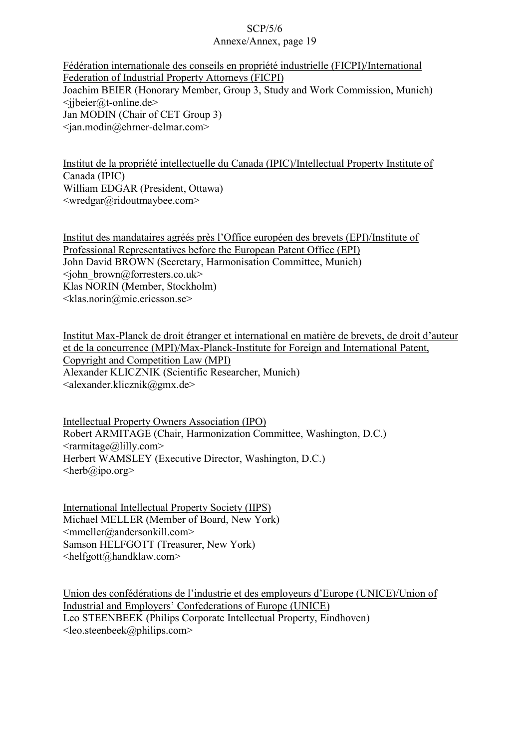Fédération internationale des conseils en propriété industrielle (FICPI)/International Federation of Industrial Property Attorneys (FICPI) Joachim BEIER (Honorary Member, Group 3, Study and Work Commission, Munich)  $\langle$ ibeier@t-online.de> Jan MODIN (Chair of CET Group 3)  $\langle$ ian.modin@ehrner-delmar.com>

Institut de la propriété intellectuelle du Canada (IPIC)/Intellectual Property Institute of Canada (IPIC) William EDGAR (President, Ottawa) <wredgar@ridoutmaybee.com>

Institut des mandataires agréés près l'Office européen des brevets (EPI)/Institute of Professional Representatives before the European Patent Office (EPI) John David BROWN (Secretary, Harmonisation Committee, Munich)  $\langle$ john\_brown@forresters.co.uk> Klas NORIN (Member, Stockholm)  $\leq$ klas.norin@mic.ericsson.se>

Institut Max-Planck de droit étranger et international en matière de brevets, de droit d'auteur et de la concurrence (MPI)/Max-Planck-Institute for Foreign and International Patent, Copyright and Competition Law (MPI) Alexander KLICZNIK (Scientific Researcher, Munich)  $\alpha$ lexander.klicznik@gmx.de>

Intellectual Property Owners Association (IPO) Robert ARMITAGE (Chair, Harmonization Committee, Washington, D.C.)  $\leq$ rarmitage@lilly.com> Herbert WAMSLEY (Executive Director, Washington, D.C.)  $\langle \text{herb}(\hat{a})\rangle$ ipo.org>

International Intellectual Property Society (IIPS) Michael MELLER (Member of Board, New York) <mmeller@andersonkill.com> Samson HELFGOTT (Treasurer, New York) <helfgott@handklaw.com>

Union des confédérations de l'industrie et des employeurs d'Europe (UNICE)/Union of Industrial and Employers' Confederations of Europe (UNICE) Leo STEENBEEK (Philips Corporate Intellectual Property, Eindhoven)  $\leq$ leo.steenbeek@philips.com $>$